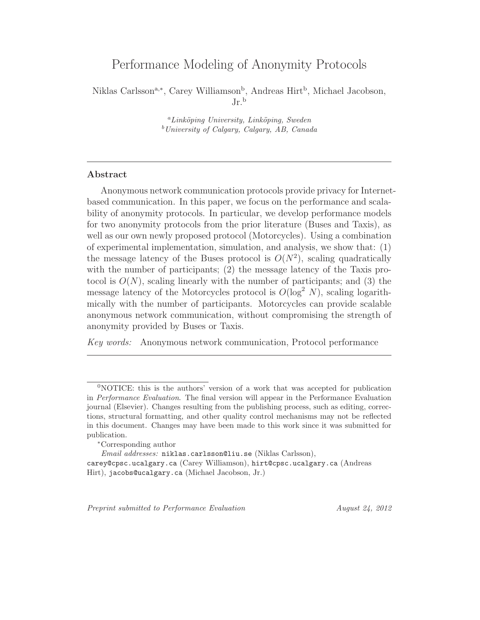# Performance Modeling of Anonymity Protocols

Niklas Carlsson<sup>a,∗</sup>, Carey Williamson<sup>b</sup>, Andreas Hirt<sup>b</sup>, Michael Jacobson,  $Jr<sup>b</sup>$ 

> $^{a}Link\ddot{o}ping$  University, Linköping, Sweden <sup>b</sup>University of Calgary, Calgary, AB, Canada

## Abstract

Anonymous network communication protocols provide privacy for Internetbased communication. In this paper, we focus on the performance and scalability of anonymity protocols. In particular, we develop performance models for two anonymity protocols from the prior literature (Buses and Taxis), as well as our own newly proposed protocol (Motorcycles). Using a combination of experimental implementation, simulation, and analysis, we show that: (1) the message latency of the Buses protocol is  $O(N^2)$ , scaling quadratically with the number of participants; (2) the message latency of the Taxis protocol is  $O(N)$ , scaling linearly with the number of participants; and (3) the message latency of the Motorcycles protocol is  $O(\log^2 N)$ , scaling logarithmically with the number of participants. Motorcycles can provide scalable anonymous network communication, without compromising the strength of anonymity provided by Buses or Taxis.

*Key words:* Anonymous network communication, Protocol performance

Preprint submitted to Performance Evaluation August 24, 2012

 $\rm ^0NOTICE:$  this is the authors' version of a work that was accepted for publication in Performance Evaluation. The final version will appear in the Performance Evaluation journal (Elsevier). Changes resulting from the publishing process, such as editing, corrections, structural formatting, and other quality control mechanisms may not be reflected in this document. Changes may have been made to this work since it was submitted for publication.

<sup>∗</sup>Corresponding author

Email addresses: niklas.carlsson@liu.se (Niklas Carlsson), carey@cpsc.ucalgary.ca (Carey Williamson), hirt@cpsc.ucalgary.ca (Andreas Hirt), jacobs@ucalgary.ca (Michael Jacobson, Jr.)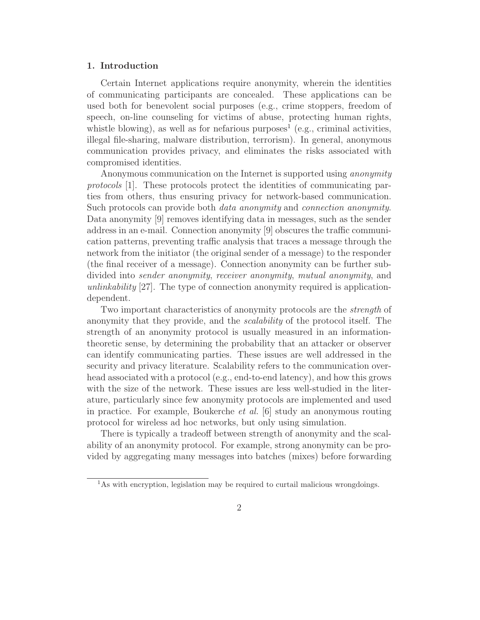## 1. Introduction

Certain Internet applications require anonymity, wherein the identities of communicating participants are concealed. These applications can be used both for benevolent social purposes (e.g., crime stoppers, freedom of speech, on-line counseling for victims of abuse, protecting human rights, whistle blowing), as well as for nefarious  $\text{purpose}^1$  (e.g., criminal activities, illegal file-sharing, malware distribution, terrorism). In general, anonymous communication provides privacy, and eliminates the risks associated with compromised identities.

Anonymous communication on the Internet is supported using *anonymity protocols* [1]. These protocols protect the identities of communicating parties from others, thus ensuring privacy for network-based communication. Such protocols can provide both *data anonymity* and *connection anonymity*. Data anonymity [9] removes identifying data in messages, such as the sender address in an e-mail. Connection anonymity [9] obscures the traffic communication patterns, preventing traffic analysis that traces a message through the network from the initiator (the original sender of a message) to the responder (the final receiver of a message). Connection anonymity can be further subdivided into *sender anonymity*, *receiver anonymity*, *mutual anonymity*, and *unlinkability* [27]. The type of connection anonymity required is applicationdependent.

Two important characteristics of anonymity protocols are the *strength* of anonymity that they provide, and the *scalability* of the protocol itself. The strength of an anonymity protocol is usually measured in an informationtheoretic sense, by determining the probability that an attacker or observer can identify communicating parties. These issues are well addressed in the security and privacy literature. Scalability refers to the communication overhead associated with a protocol (e.g., end-to-end latency), and how this grows with the size of the network. These issues are less well-studied in the literature, particularly since few anonymity protocols are implemented and used in practice. For example, Boukerche *et al.* [6] study an anonymous routing protocol for wireless ad hoc networks, but only using simulation.

There is typically a tradeoff between strength of anonymity and the scalability of an anonymity protocol. For example, strong anonymity can be provided by aggregating many messages into batches (mixes) before forwarding

<sup>&</sup>lt;sup>1</sup>As with encryption, legislation may be required to curtail malicious wrongdoings.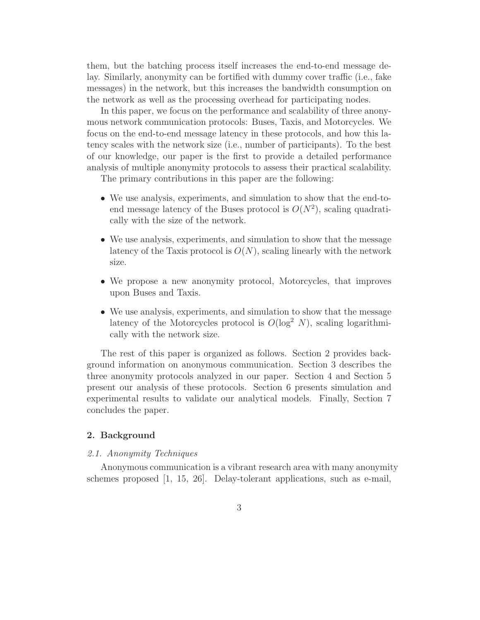them, but the batching process itself increases the end-to-end message delay. Similarly, anonymity can be fortified with dummy cover traffic (i.e., fake messages) in the network, but this increases the bandwidth consumption on the network as well as the processing overhead for participating nodes.

In this paper, we focus on the performance and scalability of three anonymous network communication protocols: Buses, Taxis, and Motorcycles. We focus on the end-to-end message latency in these protocols, and how this latency scales with the network size (i.e., number of participants). To the best of our knowledge, our paper is the first to provide a detailed performance analysis of multiple anonymity protocols to assess their practical scalability.

The primary contributions in this paper are the following:

- We use analysis, experiments, and simulation to show that the end-toend message latency of the Buses protocol is  $O(N^2)$ , scaling quadratically with the size of the network.
- We use analysis, experiments, and simulation to show that the message latency of the Taxis protocol is  $O(N)$ , scaling linearly with the network size.
- We propose a new anonymity protocol, Motorcycles, that improves upon Buses and Taxis.
- We use analysis, experiments, and simulation to show that the message latency of the Motorcycles protocol is  $O(\log^2 N)$ , scaling logarithmically with the network size.

The rest of this paper is organized as follows. Section 2 provides background information on anonymous communication. Section 3 describes the three anonymity protocols analyzed in our paper. Section 4 and Section 5 present our analysis of these protocols. Section 6 presents simulation and experimental results to validate our analytical models. Finally, Section 7 concludes the paper.

## 2. Background

# *2.1. Anonymity Techniques*

Anonymous communication is a vibrant research area with many anonymity schemes proposed [1, 15, 26]. Delay-tolerant applications, such as e-mail,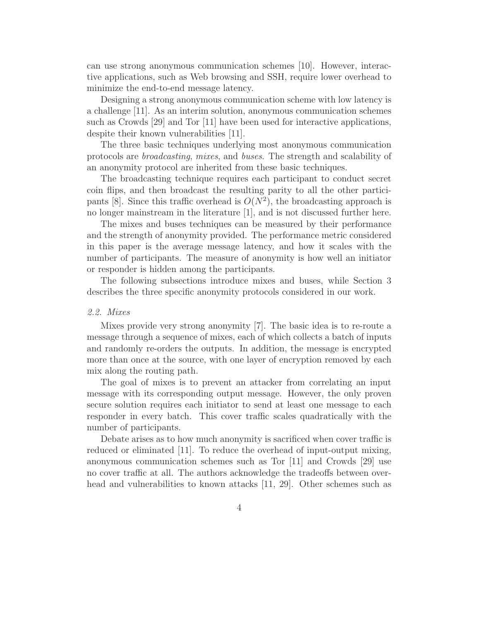can use strong anonymous communication schemes [10]. However, interactive applications, such as Web browsing and SSH, require lower overhead to minimize the end-to-end message latency.

Designing a strong anonymous communication scheme with low latency is a challenge [11]. As an interim solution, anonymous communication schemes such as Crowds [29] and Tor [11] have been used for interactive applications, despite their known vulnerabilities [11].

The three basic techniques underlying most anonymous communication protocols are *broadcasting*, *mixes*, and *buses*. The strength and scalability of an anonymity protocol are inherited from these basic techniques.

The broadcasting technique requires each participant to conduct secret coin flips, and then broadcast the resulting parity to all the other participants [8]. Since this traffic overhead is  $O(N^2)$ , the broadcasting approach is no longer mainstream in the literature [1], and is not discussed further here.

The mixes and buses techniques can be measured by their performance and the strength of anonymity provided. The performance metric considered in this paper is the average message latency, and how it scales with the number of participants. The measure of anonymity is how well an initiator or responder is hidden among the participants.

The following subsections introduce mixes and buses, while Section 3 describes the three specific anonymity protocols considered in our work.

#### *2.2. Mixes*

Mixes provide very strong anonymity [7]. The basic idea is to re-route a message through a sequence of mixes, each of which collects a batch of inputs and randomly re-orders the outputs. In addition, the message is encrypted more than once at the source, with one layer of encryption removed by each mix along the routing path.

The goal of mixes is to prevent an attacker from correlating an input message with its corresponding output message. However, the only proven secure solution requires each initiator to send at least one message to each responder in every batch. This cover traffic scales quadratically with the number of participants.

Debate arises as to how much anonymity is sacrificed when cover traffic is reduced or eliminated [11]. To reduce the overhead of input-output mixing, anonymous communication schemes such as Tor [11] and Crowds [29] use no cover traffic at all. The authors acknowledge the tradeoffs between overhead and vulnerabilities to known attacks [11, 29]. Other schemes such as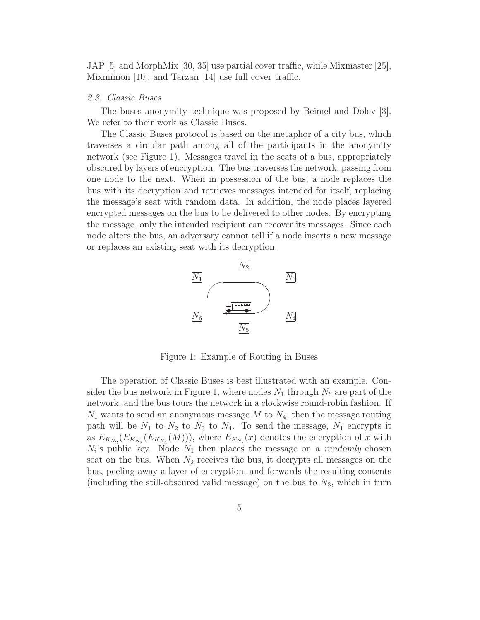JAP [5] and MorphMix [30, 35] use partial cover traffic, while Mixmaster [25], Mixminion [10], and Tarzan [14] use full cover traffic.

#### *2.3. Classic Buses*

The buses anonymity technique was proposed by Beimel and Dolev [3]. We refer to their work as Classic Buses.

The Classic Buses protocol is based on the metaphor of a city bus, which traverses a circular path among all of the participants in the anonymity network (see Figure 1). Messages travel in the seats of a bus, appropriately obscured by layers of encryption. The bus traverses the network, passing from one node to the next. When in possession of the bus, a node replaces the bus with its decryption and retrieves messages intended for itself, replacing the message's seat with random data. In addition, the node places layered encrypted messages on the bus to be delivered to other nodes. By encrypting the message, only the intended recipient can recover its messages. Since each node alters the bus, an adversary cannot tell if a node inserts a new message or replaces an existing seat with its decryption.



Figure 1: Example of Routing in Buses

The operation of Classic Buses is best illustrated with an example. Consider the bus network in Figure 1, where nodes  $N_1$  through  $N_6$  are part of the network, and the bus tours the network in a clockwise round-robin fashion. If  $N_1$  wants to send an anonymous message M to  $N_4$ , then the message routing path will be  $N_1$  to  $N_2$  to  $N_3$  to  $N_4$ . To send the message,  $N_1$  encrypts it as  $E_{K_{N_2}}(E_{K_{N_3}}(E_{K_{N_4}}(M)))$ , where  $E_{K_{N_i}}(x)$  denotes the encryption of x with  $N_i$ 's public key. Node  $N_1$  then places the message on a *randomly* chosen seat on the bus. When  $N_2$  receives the bus, it decrypts all messages on the bus, peeling away a layer of encryption, and forwards the resulting contents (including the still-obscured valid message) on the bus to  $N_3$ , which in turn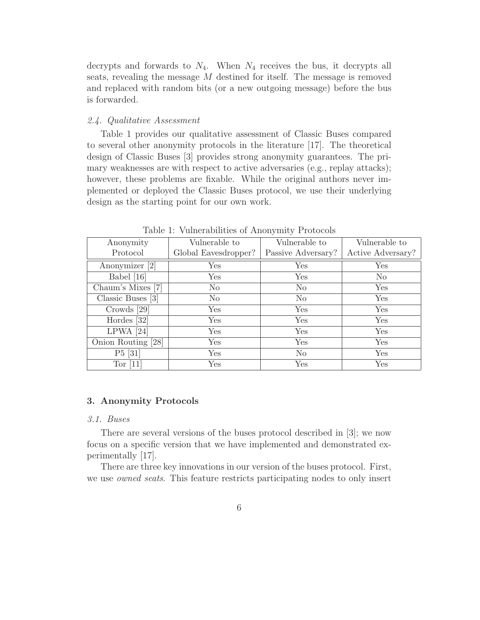decrypts and forwards to  $N_4$ . When  $N_4$  receives the bus, it decrypts all seats, revealing the message M destined for itself. The message is removed and replaced with random bits (or a new outgoing message) before the bus is forwarded.

### *2.4. Qualitative Assessment*

Table 1 provides our qualitative assessment of Classic Buses compared to several other anonymity protocols in the literature [17]. The theoretical design of Classic Buses [3] provides strong anonymity guarantees. The primary weaknesses are with respect to active adversaries (e.g., replay attacks); however, these problems are fixable. While the original authors never implemented or deployed the Classic Buses protocol, we use their underlying design as the starting point for our own work.

| Anonymity          | Vulnerable to        | Vulnerable to      | Vulnerable to     |
|--------------------|----------------------|--------------------|-------------------|
| Protocol           | Global Eavesdropper? | Passive Adversary? | Active Adversary? |
| Anonymizer [2]     | Yes                  | Yes                | Yes               |
| Babel $[16]$       | Yes                  | Yes                | N <sub>o</sub>    |
| Chaum's Mixes [7]  | N <sub>o</sub>       | N <sub>o</sub>     | Yes               |
| Classic Buses [3]  | N <sub>o</sub>       | N <sub>o</sub>     | Yes               |
| Crowds [29]        | Yes                  | Yes                | Yes               |
| Hordes [32]        | Yes                  | Yes                | Yes               |
| $LPWA$ [24]        | <b>Yes</b>           | Yes                | Yes               |
| Onion Routing [28] | <b>Yes</b>           | <b>Yes</b>         | Yes               |
| P5[31]             | Yes                  | N <sub>o</sub>     | Yes               |
| Tor $[11]$         | <b>Yes</b>           | Yes                | Yes               |

Table 1: Vulnerabilities of Anonymity Protocols

#### 3. Anonymity Protocols

#### *3.1. Buses*

There are several versions of the buses protocol described in [3]; we now focus on a specific version that we have implemented and demonstrated experimentally [17].

There are three key innovations in our version of the buses protocol. First, we use *owned seats*. This feature restricts participating nodes to only insert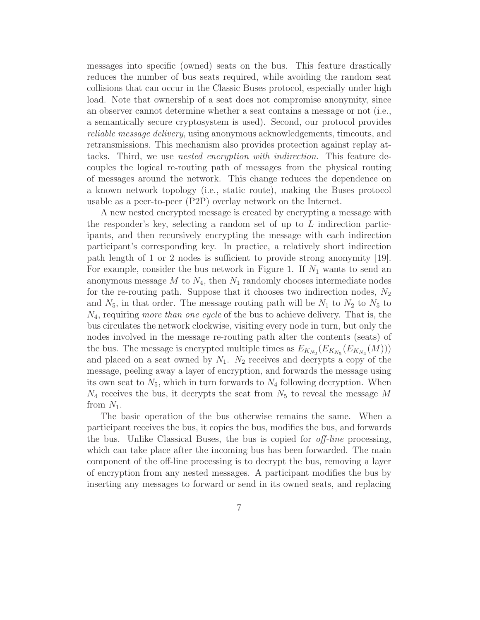messages into specific (owned) seats on the bus. This feature drastically reduces the number of bus seats required, while avoiding the random seat collisions that can occur in the Classic Buses protocol, especially under high load. Note that ownership of a seat does not compromise anonymity, since an observer cannot determine whether a seat contains a message or not (i.e., a semantically secure cryptosystem is used). Second, our protocol provides *reliable message delivery*, using anonymous acknowledgements, timeouts, and retransmissions. This mechanism also provides protection against replay attacks. Third, we use *nested encryption with indirection*. This feature decouples the logical re-routing path of messages from the physical routing of messages around the network. This change reduces the dependence on a known network topology (i.e., static route), making the Buses protocol usable as a peer-to-peer (P2P) overlay network on the Internet.

A new nested encrypted message is created by encrypting a message with the responder's key, selecting a random set of up to L indirection participants, and then recursively encrypting the message with each indirection participant's corresponding key. In practice, a relatively short indirection path length of 1 or 2 nodes is sufficient to provide strong anonymity [19]. For example, consider the bus network in Figure 1. If  $N_1$  wants to send an anonymous message  $M$  to  $N_4$ , then  $N_1$  randomly chooses intermediate nodes for the re-routing path. Suppose that it chooses two indirection nodes,  $N_2$ and  $N_5$ , in that order. The message routing path will be  $N_1$  to  $N_2$  to  $N_5$  to N4, requiring *more than one cycle* of the bus to achieve delivery. That is, the bus circulates the network clockwise, visiting every node in turn, but only the nodes involved in the message re-routing path alter the contents (seats) of the bus. The message is encrypted multiple times as  $E_{K_{N_2}}(E_{K_{N_5}}(E_{K_{N_4}}(M)))$ and placed on a seat owned by  $N_1$ .  $N_2$  receives and decrypts a copy of the message, peeling away a layer of encryption, and forwards the message using its own seat to  $N_5$ , which in turn forwards to  $N_4$  following decryption. When  $N_4$  receives the bus, it decrypts the seat from  $N_5$  to reveal the message M from  $N_1$ .

The basic operation of the bus otherwise remains the same. When a participant receives the bus, it copies the bus, modifies the bus, and forwards the bus. Unlike Classical Buses, the bus is copied for *off-line* processing, which can take place after the incoming bus has been forwarded. The main component of the off-line processing is to decrypt the bus, removing a layer of encryption from any nested messages. A participant modifies the bus by inserting any messages to forward or send in its owned seats, and replacing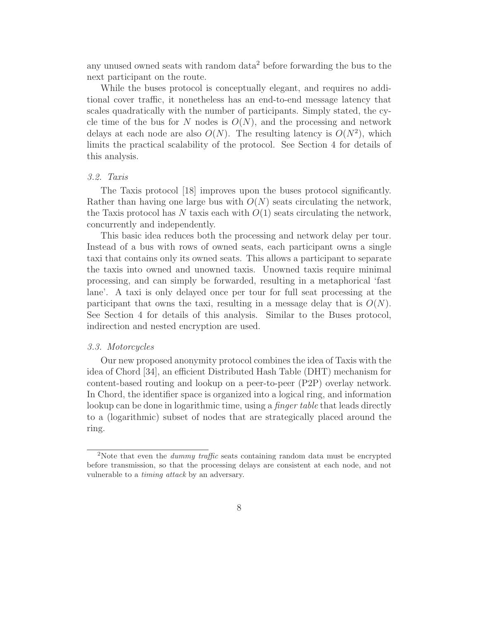any unused owned seats with random data<sup>2</sup> before forwarding the bus to the next participant on the route.

While the buses protocol is conceptually elegant, and requires no additional cover traffic, it nonetheless has an end-to-end message latency that scales quadratically with the number of participants. Simply stated, the cycle time of the bus for N nodes is  $O(N)$ , and the processing and network delays at each node are also  $O(N)$ . The resulting latency is  $O(N^2)$ , which limits the practical scalability of the protocol. See Section 4 for details of this analysis.

## *3.2. Taxis*

The Taxis protocol [18] improves upon the buses protocol significantly. Rather than having one large bus with  $O(N)$  seats circulating the network, the Taxis protocol has N taxis each with  $O(1)$  seats circulating the network, concurrently and independently.

This basic idea reduces both the processing and network delay per tour. Instead of a bus with rows of owned seats, each participant owns a single taxi that contains only its owned seats. This allows a participant to separate the taxis into owned and unowned taxis. Unowned taxis require minimal processing, and can simply be forwarded, resulting in a metaphorical 'fast lane'. A taxi is only delayed once per tour for full seat processing at the participant that owns the taxi, resulting in a message delay that is  $O(N)$ . See Section 4 for details of this analysis. Similar to the Buses protocol, indirection and nested encryption are used.

#### *3.3. Motorcycles*

Our new proposed anonymity protocol combines the idea of Taxis with the idea of Chord [34], an efficient Distributed Hash Table (DHT) mechanism for content-based routing and lookup on a peer-to-peer (P2P) overlay network. In Chord, the identifier space is organized into a logical ring, and information lookup can be done in logarithmic time, using a *finger table* that leads directly to a (logarithmic) subset of nodes that are strategically placed around the ring.

<sup>&</sup>lt;sup>2</sup>Note that even the *dummy traffic* seats containing random data must be encrypted before transmission, so that the processing delays are consistent at each node, and not vulnerable to a timing attack by an adversary.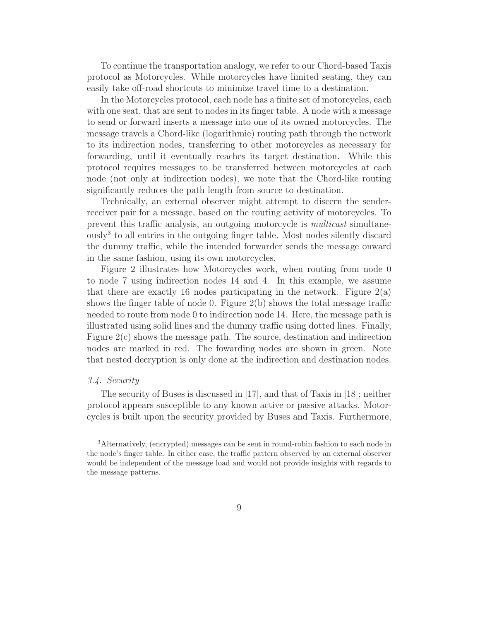To continue the transportation analogy, we refer to our Chord-based Taxis protocol as Motorcycles. While motorcycles have limited seating, they can easily take off-road shortcuts to minimize travel time to a destination.

In the Motorcycles protocol, each node has a finite set of motorcycles, each with one seat, that are sent to nodes in its finger table. A node with a message to send or forward inserts a message into one of its owned motorcycles. The message travels a Chord-like (logarithmic) routing path through the network to its indirection nodes, transferring to other motorcycles as necessary for forwarding, until it eventually reaches its target destination. While this protocol requires messages to be transferred between motorcycles at each node (not only at indirection nodes), we note that the Chord-like routing significantly reduces the path length from source to destination.

Technically, an external observer might attempt to discern the senderreceiver pair for a message, based on the routing activity of motorcycles. To prevent this traffic analysis, an outgoing motorcycle is *multicast* simultaneously<sup>3</sup> to all entries in the outgoing finger table. Most nodes silently discard the dummy traffic, while the intended forwarder sends the message onward in the same fashion, using its own motorcycles.

Figure 2 illustrates how Motorcycles work, when routing from node 0 to node 7 using indirection nodes 14 and 4. In this example, we assume that there are exactly 16 nodes participating in the network. Figure  $2(a)$ shows the finger table of node 0. Figure 2(b) shows the total message traffic needed to route from node 0 to indirection node 14. Here, the message path is illustrated using solid lines and the dummy traffic using dotted lines. Finally, Figure  $2(c)$  shows the message path. The source, destination and indirection nodes are marked in red. The fowarding nodes are shown in green. Note that nested decryption is only done at the indirection and destination nodes.

#### *3.4. Security*

The security of Buses is discussed in [17], and that of Taxis in [18]; neither protocol appears susceptible to any known active or passive attacks. Motorcycles is built upon the security provided by Buses and Taxis. Furthermore,

<sup>3</sup>Alternatively, (encrypted) messages can be sent in round-robin fashion to each node in the node's finger table. In either case, the traffic pattern observed by an external observer would be independent of the message load and would not provide insights with regards to the message patterns.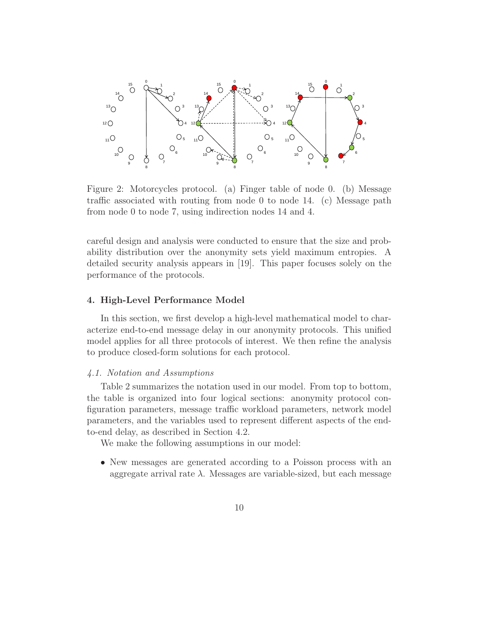

Figure 2: Motorcycles protocol. (a) Finger table of node 0. (b) Message traffic associated with routing from node 0 to node 14. (c) Message path from node 0 to node 7, using indirection nodes 14 and 4.

careful design and analysis were conducted to ensure that the size and probability distribution over the anonymity sets yield maximum entropies. A detailed security analysis appears in [19]. This paper focuses solely on the performance of the protocols.

#### 4. High-Level Performance Model

In this section, we first develop a high-level mathematical model to characterize end-to-end message delay in our anonymity protocols. This unified model applies for all three protocols of interest. We then refine the analysis to produce closed-form solutions for each protocol.

#### *4.1. Notation and Assumptions*

Table 2 summarizes the notation used in our model. From top to bottom, the table is organized into four logical sections: anonymity protocol configuration parameters, message traffic workload parameters, network model parameters, and the variables used to represent different aspects of the endto-end delay, as described in Section 4.2.

We make the following assumptions in our model:

• New messages are generated according to a Poisson process with an aggregate arrival rate  $\lambda$ . Messages are variable-sized, but each message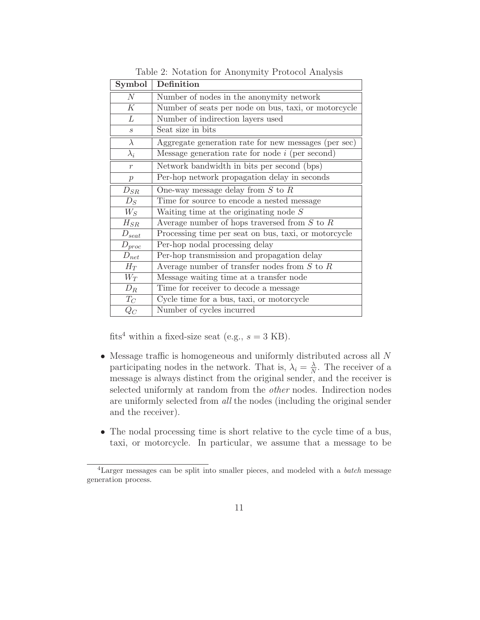| Symbol                      | Definition                                           |
|-----------------------------|------------------------------------------------------|
| N                           | Number of nodes in the anonymity network             |
| K                           | Number of seats per node on bus, taxi, or motorcycle |
| L                           | Number of indirection layers used                    |
| $\mathcal{S}_{\mathcal{S}}$ | Seat size in bits                                    |
| $\lambda$                   | Aggregate generation rate for new messages (per sec) |
| $\lambda_i$                 | Message generation rate for node $i$ (per second)    |
| $\boldsymbol{r}$            | Network bandwidth in bits per second (bps)           |
| $p\,$                       | Per-hop network propagation delay in seconds         |
| $D_{SR}$                    | One-way message delay from $S$ to $R$                |
| $D_S$                       | Time for source to encode a nested message           |
| $W_S$                       | Waiting time at the originating node $S$             |
| $H_{SR}$                    | Average number of hops traversed from $S$ to $R$     |
| $D_{\text{scat}}$           | Processing time per seat on bus, taxi, or motorcycle |
| $D_{proc}$                  | Per-hop nodal processing delay                       |
| $D_{net}$                   | Per-hop transmission and propagation delay           |
| $H_T$                       | Average number of transfer nodes from $S$ to $R$     |
| $W_T$                       | Message waiting time at a transfer node              |
| $D_R$                       | Time for receiver to decode a message                |
| $T_C$                       | Cycle time for a bus, taxi, or motorcycle            |
| $Q_C$                       | Number of cycles incurred                            |

Table 2: Notation for Anonymity Protocol Analysis

fits<sup>4</sup> within a fixed-size seat (e.g.,  $s = 3$  KB).

- Message traffic is homogeneous and uniformly distributed across all N participating nodes in the network. That is,  $\lambda_i = \frac{\lambda_i}{N}$  $\frac{\lambda}{N}$ . The receiver of a message is always distinct from the original sender, and the receiver is selected uniformly at random from the *other* nodes. Indirection nodes are uniformly selected from *all* the nodes (including the original sender and the receiver).
- The nodal processing time is short relative to the cycle time of a bus, taxi, or motorcycle. In particular, we assume that a message to be

<sup>4</sup>Larger messages can be split into smaller pieces, and modeled with a batch message generation process.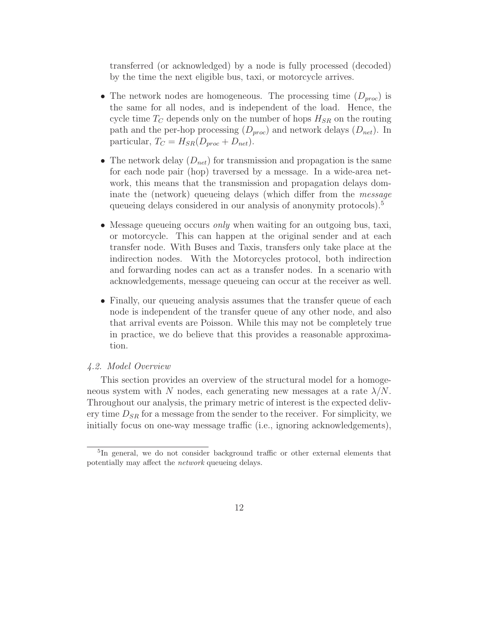transferred (or acknowledged) by a node is fully processed (decoded) by the time the next eligible bus, taxi, or motorcycle arrives.

- The network nodes are homogeneous. The processing time  $(D_{proc})$  is the same for all nodes, and is independent of the load. Hence, the cycle time  $T_C$  depends only on the number of hops  $H_{SR}$  on the routing path and the per-hop processing  $(D_{proc})$  and network delays  $(D_{net})$ . In particular,  $T_C = H_{SR}(D_{proc} + D_{net}).$
- The network delay  $(D_{net})$  for transmission and propagation is the same for each node pair (hop) traversed by a message. In a wide-area network, this means that the transmission and propagation delays dominate the (network) queueing delays (which differ from the *message* queueing delays considered in our analysis of anonymity protocols).<sup>5</sup>
- Message queueing occurs *only* when waiting for an outgoing bus, taxi, or motorcycle. This can happen at the original sender and at each transfer node. With Buses and Taxis, transfers only take place at the indirection nodes. With the Motorcycles protocol, both indirection and forwarding nodes can act as a transfer nodes. In a scenario with acknowledgements, message queueing can occur at the receiver as well.
- Finally, our queueing analysis assumes that the transfer queue of each node is independent of the transfer queue of any other node, and also that arrival events are Poisson. While this may not be completely true in practice, we do believe that this provides a reasonable approximation.

# *4.2. Model Overview*

This section provides an overview of the structural model for a homogeneous system with N nodes, each generating new messages at a rate  $\lambda/N$ . Throughout our analysis, the primary metric of interest is the expected delivery time  $D_{SR}$  for a message from the sender to the receiver. For simplicity, we initially focus on one-way message traffic (i.e., ignoring acknowledgements),

<sup>&</sup>lt;sup>5</sup>In general, we do not consider background traffic or other external elements that potentially may affect the network queueing delays.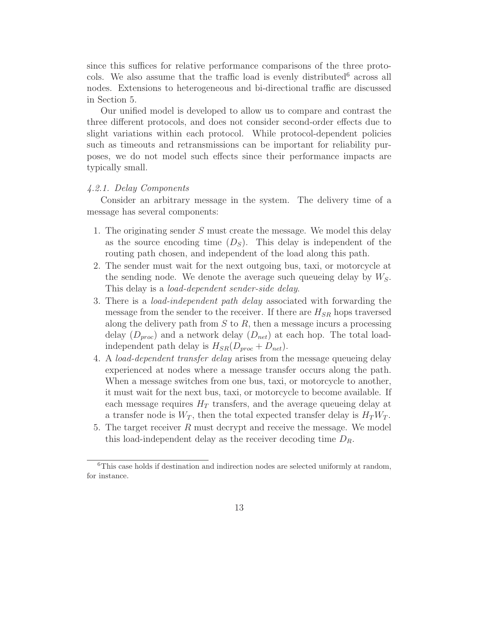since this suffices for relative performance comparisons of the three protocols. We also assume that the traffic load is evenly distributed across all nodes. Extensions to heterogeneous and bi-directional traffic are discussed in Section 5.

Our unified model is developed to allow us to compare and contrast the three different protocols, and does not consider second-order effects due to slight variations within each protocol. While protocol-dependent policies such as timeouts and retransmissions can be important for reliability purposes, we do not model such effects since their performance impacts are typically small.

## *4.2.1. Delay Components*

Consider an arbitrary message in the system. The delivery time of a message has several components:

- 1. The originating sender S must create the message. We model this delay as the source encoding time  $(D<sub>S</sub>)$ . This delay is independent of the routing path chosen, and independent of the load along this path.
- 2. The sender must wait for the next outgoing bus, taxi, or motorcycle at the sending node. We denote the average such queueing delay by  $W<sub>S</sub>$ . This delay is a *load-dependent sender-side delay*.
- 3. There is a *load-independent path delay* associated with forwarding the message from the sender to the receiver. If there are  $H_{SR}$  hops traversed along the delivery path from  $S$  to  $R$ , then a message incurs a processing delay  $(D_{proc})$  and a network delay  $(D_{net})$  at each hop. The total loadindependent path delay is  $H_{SR}(D_{proc} + D_{net}).$
- 4. A *load-dependent transfer delay* arises from the message queueing delay experienced at nodes where a message transfer occurs along the path. When a message switches from one bus, taxi, or motorcycle to another, it must wait for the next bus, taxi, or motorcycle to become available. If each message requires  $H_T$  transfers, and the average queueing delay at a transfer node is  $W_T$ , then the total expected transfer delay is  $H_T W_T$ .
- 5. The target receiver R must decrypt and receive the message. We model this load-independent delay as the receiver decoding time  $D_R$ .

<sup>6</sup>This case holds if destination and indirection nodes are selected uniformly at random, for instance.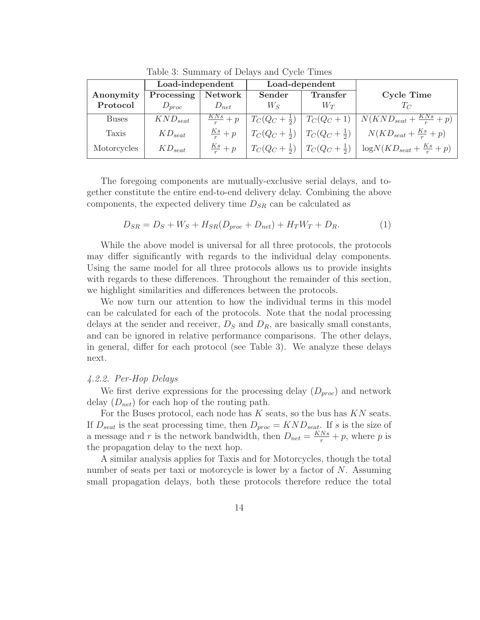|              | Load-independent    |                   | Load-dependent |                                               |                                                                                      |
|--------------|---------------------|-------------------|----------------|-----------------------------------------------|--------------------------------------------------------------------------------------|
| Anonymity    | Processing          | Network           | Sender         | <b>Transfer</b>                               | <b>Cycle Time</b>                                                                    |
| Protocol     | $D_{proc}$          | $D_{net}$         | $W_S$          | $W_T$                                         | $T_C$                                                                                |
| <b>Buses</b> | $KND_{\text{seat}}$ | $\frac{KNs}{r}+p$ |                |                                               | $\mid T_C(Q_C+\frac{1}{2}) \mid T_C(Q_C+1) \mid N(KND_{seat}+\frac{KNs}{r}+p)$       |
| Taxis        | $KD_{\text{seat}}$  | $\frac{Ks}{r}+p$  |                |                                               | $T_C(Q_C + \frac{1}{2})$ $T_C(Q_C + \frac{1}{2})$ $N(KD_{seat} + \frac{K_s}{r} + p)$ |
| Motorcycles  | $KD_{\text{seat}}$  | $\frac{Ks}{r}+p$  |                | $T_C(Q_C+\frac{1}{2})$ $T_C(Q_C+\frac{1}{2})$ | $\log N(KD_{seat} + \frac{Ks}{r} + p)$                                               |

Table 3: Summary of Delays and Cycle Times

The foregoing components are mutually-exclusive serial delays, and together constitute the entire end-to-end delivery delay. Combining the above components, the expected delivery time  $D_{SR}$  can be calculated as

$$
D_{SR} = D_S + W_S + H_{SR}(D_{proc} + D_{net}) + H_T W_T + D_R.
$$
 (1)

While the above model is universal for all three protocols, the protocols may differ significantly with regards to the individual delay components. Using the same model for all three protocols allows us to provide insights with regards to these differences. Throughout the remainder of this section, we highlight similarities and differences between the protocols.

We now turn our attention to how the individual terms in this model can be calculated for each of the protocols. Note that the nodal processing delays at the sender and receiver,  $D<sub>S</sub>$  and  $D<sub>R</sub>$ , are basically small constants, and can be ignored in relative performance comparisons. The other delays, in general, differ for each protocol (see Table 3). We analyze these delays next.

## *4.2.2. Per-Hop Delays*

We first derive expressions for the processing delay  $(D_{proc})$  and network delay  $(D_{net})$  for each hop of the routing path.

For the Buses protocol, each node has  $K$  seats, so the bus has  $KN$  seats. If  $D_{seat}$  is the seat processing time, then  $D_{proc} = KND_{seat}$ . If s is the size of a message and r is the network bandwidth, then  $D_{net} = \frac{KN_s}{r} + p$ , where p is the propagation delay to the next hop.

A similar analysis applies for Taxis and for Motorcycles, though the total number of seats per taxi or motorcycle is lower by a factor of  $N$ . Assuming small propagation delays, both these protocols therefore reduce the total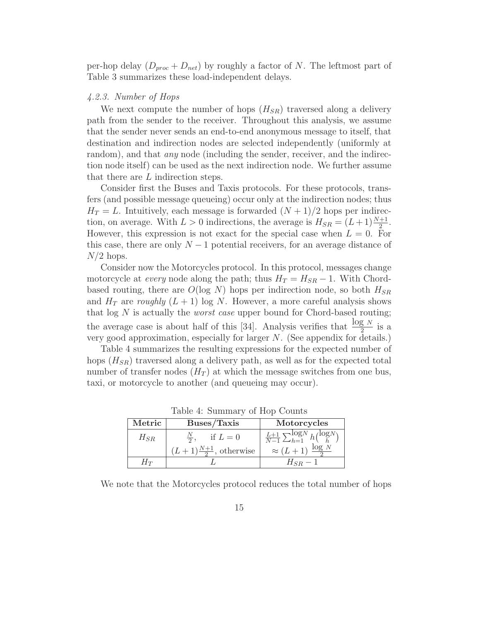per-hop delay  $(D_{proc} + D_{net})$  by roughly a factor of N. The leftmost part of Table 3 summarizes these load-independent delays.

#### *4.2.3. Number of Hops*

We next compute the number of hops  $(H_{SR})$  traversed along a delivery path from the sender to the receiver. Throughout this analysis, we assume that the sender never sends an end-to-end anonymous message to itself, that destination and indirection nodes are selected independently (uniformly at random), and that *any* node (including the sender, receiver, and the indirection node itself) can be used as the next indirection node. We further assume that there are L indirection steps.

Consider first the Buses and Taxis protocols. For these protocols, transfers (and possible message queueing) occur only at the indirection nodes; thus  $H_T = L$ . Intuitively, each message is forwarded  $(N + 1)/2$  hops per indirection, on average. With  $L > 0$  indirections, the average is  $H_{SR} = (L+1)\frac{N+1}{2}$ . However, this expression is not exact for the special case when  $L = 0$ . For this case, there are only  $N-1$  potential receivers, for an average distance of  $N/2$  hops.

Consider now the Motorcycles protocol. In this protocol, messages change motorcycle at *every* node along the path; thus  $H_T = H_{SR} - 1$ . With Chordbased routing, there are  $O(\log N)$  hops per indirection node, so both  $H_{SR}$ and  $H_T$  are *roughly*  $(L + 1)$  log N. However, a more careful analysis shows that log N is actually the *worst case* upper bound for Chord-based routing; the average case is about half of this [34]. Analysis verifies that  $\frac{\log N}{2}$  is a very good approximation, especially for larger N. (See appendix for details.)

Table 4 summarizes the resulting expressions for the expected number of hops  $(H_{SR})$  traversed along a delivery path, as well as for the expected total number of transfer nodes  $(H_T)$  at which the message switches from one bus, taxi, or motorcycle to another (and queueing may occur).

| $\operatorname{Metric}$ | Buses/Taxis                      | Motorcycles                                             |  |
|-------------------------|----------------------------------|---------------------------------------------------------|--|
| $H_{SR}$                | if $L=0$<br>$\frac{N}{2}$ ,      | $\frac{L+1}{N-1}\sum_{h=1}^{\log N}h(\frac{\log N}{h})$ |  |
|                         | $(L+1)\frac{N+1}{2}$ , otherwise | $\approx (L + 1)$                                       |  |
|                         |                                  | $H_{SR}$                                                |  |

Table 4: Summary of Hop Counts

We note that the Motorcycles protocol reduces the total number of hops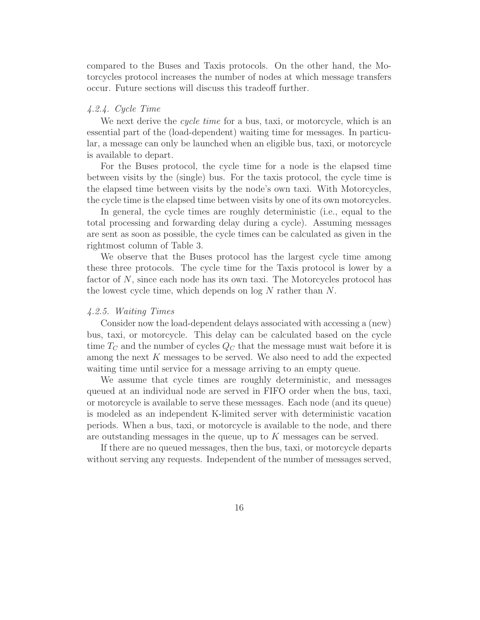compared to the Buses and Taxis protocols. On the other hand, the Motorcycles protocol increases the number of nodes at which message transfers occur. Future sections will discuss this tradeoff further.

## *4.2.4. Cycle Time*

We next derive the *cycle time* for a bus, taxi, or motorcycle, which is an essential part of the (load-dependent) waiting time for messages. In particular, a message can only be launched when an eligible bus, taxi, or motorcycle is available to depart.

For the Buses protocol, the cycle time for a node is the elapsed time between visits by the (single) bus. For the taxis protocol, the cycle time is the elapsed time between visits by the node's own taxi. With Motorcycles, the cycle time is the elapsed time between visits by one of its own motorcycles.

In general, the cycle times are roughly deterministic (i.e., equal to the total processing and forwarding delay during a cycle). Assuming messages are sent as soon as possible, the cycle times can be calculated as given in the rightmost column of Table 3.

We observe that the Buses protocol has the largest cycle time among these three protocols. The cycle time for the Taxis protocol is lower by a factor of N, since each node has its own taxi. The Motorcycles protocol has the lowest cycle time, which depends on log N rather than N.

#### *4.2.5. Waiting Times*

Consider now the load-dependent delays associated with accessing a (new) bus, taxi, or motorcycle. This delay can be calculated based on the cycle time  $T_C$  and the number of cycles  $Q_C$  that the message must wait before it is among the next K messages to be served. We also need to add the expected waiting time until service for a message arriving to an empty queue.

We assume that cycle times are roughly deterministic, and messages queued at an individual node are served in FIFO order when the bus, taxi, or motorcycle is available to serve these messages. Each node (and its queue) is modeled as an independent K-limited server with deterministic vacation periods. When a bus, taxi, or motorcycle is available to the node, and there are outstanding messages in the queue, up to K messages can be served.

If there are no queued messages, then the bus, taxi, or motorcycle departs without serving any requests. Independent of the number of messages served,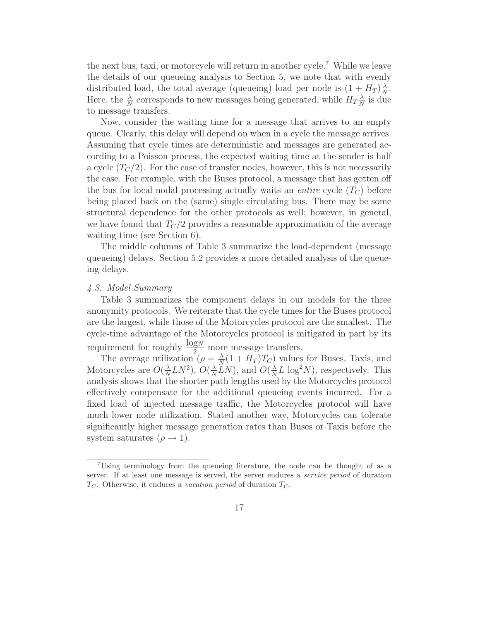the next bus, taxi, or motorcycle will return in another cycle. <sup>7</sup> While we leave the details of our queueing analysis to Section 5, we note that with evenly distributed load, the total average (queueing) load per node is  $(1 + H_T) \frac{\lambda}{N}$  $\frac{\lambda}{N}$  . Here, the  $\frac{\lambda}{N}$  corresponds to new messages being generated, while  $H_T \frac{\lambda}{N}$  $\frac{\lambda}{N}$  is due to message transfers.

Now, consider the waiting time for a message that arrives to an empty queue. Clearly, this delay will depend on when in a cycle the message arrives. Assuming that cycle times are deterministic and messages are generated according to a Poisson process, the expected waiting time at the sender is half a cycle  $(T_C/2)$ . For the case of transfer nodes, however, this is not necessarily the case. For example, with the Buses protocol, a message that has gotten off the bus for local nodal processing actually waits an *entire* cycle  $(T_C)$  before being placed back on the (same) single circulating bus. There may be some structural dependence for the other protocols as well; however, in general, we have found that  $T_{C}/2$  provides a reasonable approximation of the average waiting time (see Section 6).

The middle columns of Table 3 summarize the load-dependent (message queueing) delays. Section 5.2 provides a more detailed analysis of the queueing delays.

## *4.3. Model Summary*

Table 3 summarizes the component delays in our models for the three anonymity protocols. We reiterate that the cycle times for the Buses protocol are the largest, while those of the Motorcycles protocol are the smallest. The cycle-time advantage of the Motorcycles protocol is mitigated in part by its requirement for roughly  $\frac{\log N}{2}$  more message transfers.

The average utilization  $(\rho = \frac{\lambda}{N})$  $\frac{\lambda}{N}(1+H_T)T_C$  values for Buses, Taxis, and Motorcycles are  $O(\frac{\lambda}{N})$  $\frac{\lambda}{N}LN^2$ ),  $O(\frac{\lambda}{N})$  $\frac{\lambda}{N}\tilde{L}N$ ), and  $O(\frac{\lambda}{N})$  $\frac{\lambda}{N}L \log^2 N$ , respectively. This analysis shows that the shorter path lengths used by the Motorcycles protocol effectively compensate for the additional queueing events incurred. For a fixed load of injected message traffic, the Motorcycles protocol will have much lower node utilization. Stated another way, Motorcycles can tolerate significantly higher message generation rates than Buses or Taxis before the system saturates ( $\rho \rightarrow 1$ ).

<sup>7</sup>Using terminology from the queueing literature, the node can be thought of as a server. If at least one message is served, the server endures a service period of duration  $T_{C}$ . Otherwise, it endures a vacation period of duration  $T_{C}$ .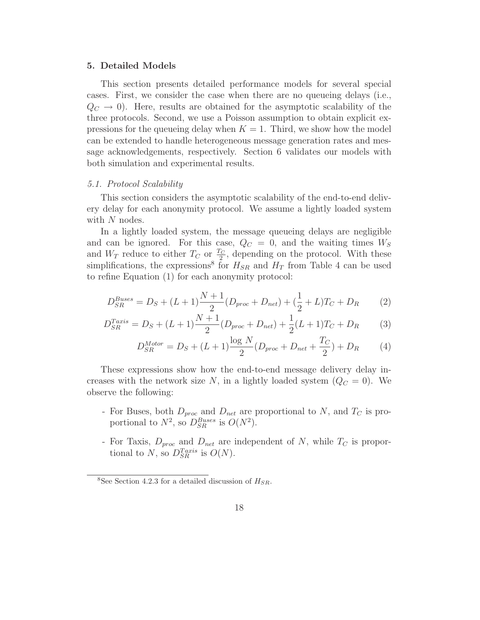#### 5. Detailed Models

This section presents detailed performance models for several special cases. First, we consider the case when there are no queueing delays (i.e.,  $Q_C \rightarrow 0$ . Here, results are obtained for the asymptotic scalability of the three protocols. Second, we use a Poisson assumption to obtain explicit expressions for the queueing delay when  $K = 1$ . Third, we show how the model can be extended to handle heterogeneous message generation rates and message acknowledgements, respectively. Section 6 validates our models with both simulation and experimental results.

#### *5.1. Protocol Scalability*

This section considers the asymptotic scalability of the end-to-end delivery delay for each anonymity protocol. We assume a lightly loaded system with N nodes.

In a lightly loaded system, the message queueing delays are negligible and can be ignored. For this case,  $Q_C = 0$ , and the waiting times  $W_S$ and  $W_T$  reduce to either  $T_C$  or  $\frac{T_C}{2}$ , depending on the protocol. With these simplifications, the expressions<sup>8</sup> for  $H_{SR}$  and  $H_T$  from Table 4 can be used to refine Equation (1) for each anonymity protocol:

$$
D_{SR}^{Buses} = D_S + (L+1)\frac{N+1}{2}(D_{proc} + D_{net}) + (\frac{1}{2} + L)T_C + D_R \tag{2}
$$

$$
D_{SR}^{Taxis} = D_S + (L+1)\frac{N+1}{2}(D_{proc} + D_{net}) + \frac{1}{2}(L+1)T_C + D_R \tag{3}
$$

$$
D_{SR}^{Motor} = D_S + (L+1)\frac{\log N}{2}(D_{proc} + D_{net} + \frac{T_C}{2}) + D_R \tag{4}
$$

These expressions show how the end-to-end message delivery delay increases with the network size N, in a lightly loaded system  $(Q<sub>C</sub> = 0)$ . We observe the following:

- For Buses, both  $D_{proc}$  and  $D_{net}$  are proportional to N, and  $T_C$  is proportional to  $N^2$ , so  $D_{SR}^{Buses}$  is  $O(N^2)$ .
- For Taxis,  $D_{proc}$  and  $D_{net}$  are independent of N, while  $T_C$  is proportional to N, so  $D_{SR}^{Taxis}$  is  $O(N)$ .

<sup>&</sup>lt;sup>8</sup>See Section 4.2.3 for a detailed discussion of  $H_{SR}$ .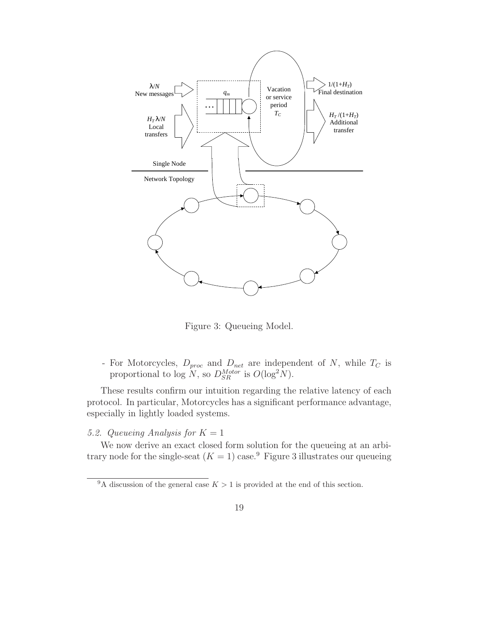

Figure 3: Queueing Model.

- For Motorcycles,  $D_{proc}$  and  $D_{net}$  are independent of N, while  $T_C$  is proportional to log  $N$ , so  $D_{SR}^{Motor}$  is  $O(\log^2 N)$ .

These results confirm our intuition regarding the relative latency of each protocol. In particular, Motorcycles has a significant performance advantage, especially in lightly loaded systems.

# *5.2. Queueing Analysis for* K = 1

We now derive an exact closed form solution for the queueing at an arbitrary node for the single-seat  $(K = 1)$  case.<sup>9</sup> Figure 3 illustrates our queueing

<sup>&</sup>lt;sup>9</sup>A discussion of the general case  $K > 1$  is provided at the end of this section.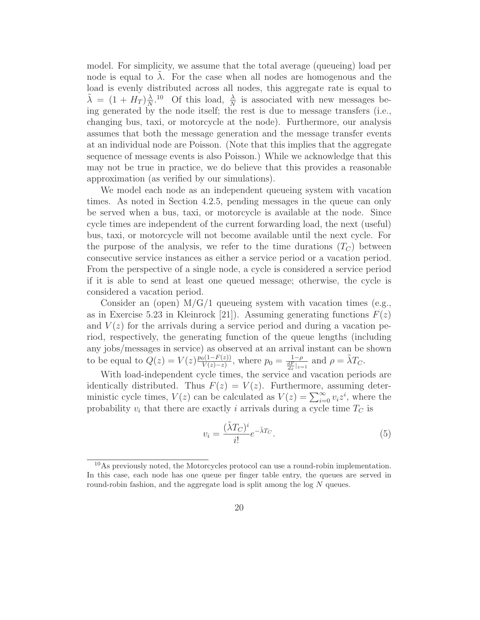model. For simplicity, we assume that the total average (queueing) load per node is equal to  $\lambda$ . For the case when all nodes are homogenous and the load is evenly distributed across all nodes, this aggregate rate is equal to  $\tilde{\lambda} = (1 + H_T) \frac{\lambda}{N}$  $\frac{\lambda}{N}$ <sup>10</sup> Of this load,  $\frac{\lambda}{N}$  is associated with new messages being generated by the node itself; the rest is due to message transfers (i.e., changing bus, taxi, or motorcycle at the node). Furthermore, our analysis assumes that both the message generation and the message transfer events at an individual node are Poisson. (Note that this implies that the aggregate sequence of message events is also Poisson.) While we acknowledge that this may not be true in practice, we do believe that this provides a reasonable approximation (as verified by our simulations).

We model each node as an independent queueing system with vacation times. As noted in Section 4.2.5, pending messages in the queue can only be served when a bus, taxi, or motorcycle is available at the node. Since cycle times are independent of the current forwarding load, the next (useful) bus, taxi, or motorcycle will not become available until the next cycle. For the purpose of the analysis, we refer to the time durations  $(T_C)$  between consecutive service instances as either a service period or a vacation period. From the perspective of a single node, a cycle is considered a service period if it is able to send at least one queued message; otherwise, the cycle is considered a vacation period.

Consider an (open)  $M/G/1$  queueing system with vacation times (e.g., as in Exercise 5.23 in Kleinrock [21]). Assuming generating functions  $F(z)$ and  $V(z)$  for the arrivals during a service period and during a vacation period, respectively, the generating function of the queue lengths (including any jobs/messages in service) as observed at an arrival instant can be shown to be equal to  $Q(z) = V(z) \frac{p_0(1 - F(z))}{V(z) - z}$  $\frac{D(1-F(z))}{V(z)-z}$ , where  $p_0 = \frac{1-\rho}{\frac{dF}{dz}|_{z=1}}$  and  $\rho = \tilde{\lambda}T_C$ .

With load-independent cycle times, the service and vacation periods are identically distributed. Thus  $F(z) = V(z)$ . Furthermore, assuming deterministic cycle times,  $V(z)$  can be calculated as  $V(z) = \sum_{i=0}^{\infty} v_i z^i$ , where the probability  $v_i$  that there are exactly i arrivals during a cycle time  $T_C$  is

$$
v_i = \frac{(\tilde{\lambda}T_C)^i}{i!}e^{-\tilde{\lambda}T_C}.
$$
\n(5)

<sup>10</sup>As previously noted, the Motorcycles protocol can use a round-robin implementation. In this case, each node has one queue per finger table entry, the queues are served in round-robin fashion, and the aggregate load is split among the log N queues.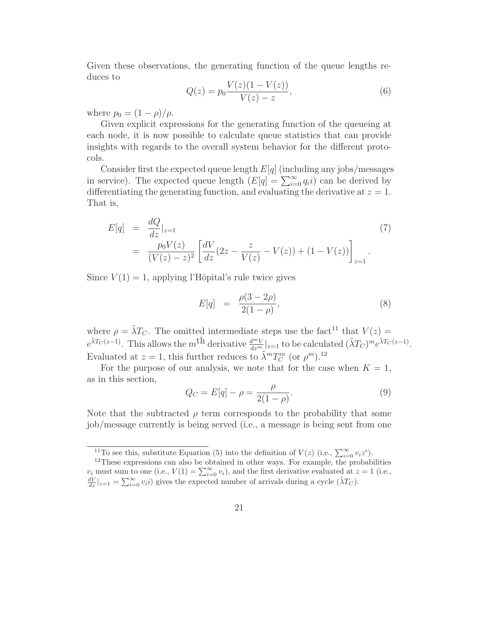Given these observations, the generating function of the queue lengths reduces to

$$
Q(z) = p_0 \frac{V(z)(1 - V(z))}{V(z) - z},\tag{6}
$$

where  $p_0 = (1 - \rho)/\rho$ .

Given explicit expressions for the generating function of the queueing at each node, it is now possible to calculate queue statistics that can provide insights with regards to the overall system behavior for the different protocols.

Consider first the expected queue length  $E[q]$  (including any jobs/messages in service). The expected queue length  $(E[q] = \sum_{i=0}^{\infty} q_i i)$  can be derived by differentiating the generating function, and evaluating the derivative at  $z = 1$ . That is,

$$
E[q] = \frac{dQ}{dz}|_{z=1}
$$
  
= 
$$
\frac{p_0 V(z)}{(V(z) - z)^2} \left[ \frac{dV}{dz} (2z - \frac{z}{V(z)} - V(z)) + (1 - V(z)) \right]_{z=1}.
$$
 (7)

Since  $V(1) = 1$ , applying l'Hôpital's rule twice gives

$$
E[q] = \frac{\rho(3-2\rho)}{2(1-\rho)},
$$
\n(8)

where  $\rho = \tilde{\lambda} T_C$ . The omitted intermediate steps use the fact<sup>11</sup> that  $V(z) =$  $e^{\tilde{\lambda}T_C(z-1)}$ . This allows the  $m^{\text{th}}$  derivative  $\frac{d^mV}{dz^m}|_{z=1}$  to be calculated  $(\tilde{\lambda}T_C)^m e^{\tilde{\lambda}T_C(z-1)}$ . Evaluated at  $z = 1$ , this further reduces to  $\tilde{\lambda}^m T_C^m$  (or  $\rho^m$ ).<sup>12</sup>

For the purpose of our analysis, we note that for the case when  $K = 1$ , as in this section,

$$
Q_C = E[q] - \rho = \frac{\rho}{2(1 - \rho)}.
$$
\n(9)

Note that the subtracted  $\rho$  term corresponds to the probability that some job/message currently is being served (i.e., a message is being sent from one

<sup>&</sup>lt;sup>11</sup>To see this, substitute Equation (5) into the definition of  $V(z)$  (i.e.,  $\sum_{i=0}^{\infty} v_i z^i$ ).

 $12$ These expressions can also be obtained in other ways. For example, the probabilities  $v_i$  must sum to one (i.e.,  $V(1) = \sum_{i=0}^{\infty} v_i$ ), and the first derivative evaluated at  $z = 1$  (i.e.,  $\frac{dV}{dz}|_{z=1} = \sum_{i=0}^{\infty} v_i i$  gives the expected number of arrivals during a cycle ( $\tilde{\lambda}T_C$ ).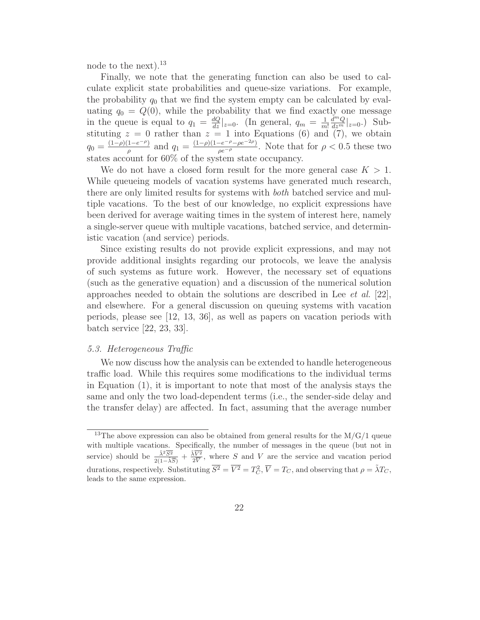node to the next).<sup>13</sup>

Finally, we note that the generating function can also be used to calculate explicit state probabilities and queue-size variations. For example, the probability  $q_0$  that we find the system empty can be calculated by evaluating  $q_0 = Q(0)$ , while the probability that we find exactly one message in the queue is equal to  $q_1 = \frac{dQ}{dz}|_{z=0}$ . (In general,  $q_m = \frac{1}{m}$ m!  $\frac{\widetilde{d}^mQ}{dz^m}|_{z=0}$ .) Substituting  $z = 0$  rather than  $z = 1$  into Equations (6) and (7), we obtain  $q_0 = \frac{(1-\rho)(1-e^{-\rho})}{\rho}$  $\frac{(1-e^{-\rho})}{\rho}$  and  $q_1 = \frac{(1-\rho)(1-e^{-\rho}-\rho e^{-2\rho})}{\rho e^{-\rho}}$ . Note that for  $\rho < 0.5$  these two states account for 60% of the system state occupancy.

We do not have a closed form result for the more general case  $K > 1$ . While queueing models of vacation systems have generated much research, there are only limited results for systems with *both* batched service and multiple vacations. To the best of our knowledge, no explicit expressions have been derived for average waiting times in the system of interest here, namely a single-server queue with multiple vacations, batched service, and deterministic vacation (and service) periods.

Since existing results do not provide explicit expressions, and may not provide additional insights regarding our protocols, we leave the analysis of such systems as future work. However, the necessary set of equations (such as the generative equation) and a discussion of the numerical solution approaches needed to obtain the solutions are described in Lee *et al.* [22], and elsewhere. For a general discussion on queuing systems with vacation periods, please see [12, 13, 36], as well as papers on vacation periods with batch service [22, 23, 33].

## *5.3. Heterogeneous Traffic*

We now discuss how the analysis can be extended to handle heterogeneous traffic load. While this requires some modifications to the individual terms in Equation (1), it is important to note that most of the analysis stays the same and only the two load-dependent terms (i.e., the sender-side delay and the transfer delay) are affected. In fact, assuming that the average number

<sup>&</sup>lt;sup>13</sup>The above expression can also be obtained from general results for the  $M/G/1$  queue with multiple vacations. Specifically, the number of messages in the queue (but not in service) should be  $\frac{\tilde{\lambda}^2 \overline{S^2}}{2(1-\tilde{\lambda}\overline{S})} + \frac{\tilde{\lambda} \overline{V^2}}{2\overline{V}}$  $\frac{2V^2}{2V}$ , where S and V are the service and vacation period durations, respectively. Substituting  $\overline{S^2} = \overline{V^2} = T_C^2$ ,  $\overline{V} = T_C$ , and observing that  $\rho = \tilde{\lambda} T_C$ , leads to the same expression.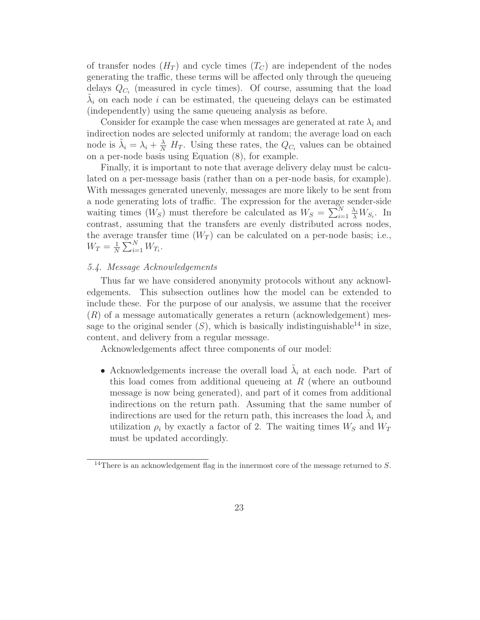of transfer nodes  $(H_T)$  and cycle times  $(T_C)$  are independent of the nodes generating the traffic, these terms will be affected only through the queueing delays  $Q_{C_i}$  (measured in cycle times). Of course, assuming that the load  $\tilde{\lambda}_i$  on each node *i* can be estimated, the queueing delays can be estimated (independently) using the same queueing analysis as before.

Consider for example the case when messages are generated at rate  $\lambda_i$  and indirection nodes are selected uniformly at random; the average load on each node is  $\tilde{\lambda}_i = \lambda_i + \frac{\lambda}{N} H_T$ . Using these rates, the  $Q_{C_i}$  values can be obtained on a per-node basis using Equation (8), for example.

Finally, it is important to note that average delivery delay must be calculated on a per-message basis (rather than on a per-node basis, for example). With messages generated unevenly, messages are more likely to be sent from a node generating lots of traffic. The expression for the average sender-side waiting times (W<sub>S</sub>) must therefore be calculated as  $W_S = \sum_{i=1}^N \frac{\lambda_i}{\lambda} W_{S_i}$ . In contrast, assuming that the transfers are evenly distributed across nodes, the average transfer time  $(W_T)$  can be calculated on a per-node basis; i.e.,  $W_T = \frac{1}{N}$  $\frac{1}{N} \sum_{i=1}^{N} W_{T_i}$ .

## *5.4. Message Acknowledgements*

Thus far we have considered anonymity protocols without any acknowledgements. This subsection outlines how the model can be extended to include these. For the purpose of our analysis, we assume that the receiver  $(R)$  of a message automatically generates a return (acknowledgement) message to the original sender  $(S)$ , which is basically indistinguishable<sup>14</sup> in size, content, and delivery from a regular message.

Acknowledgements affect three components of our model:

• Acknowledgements increase the overall load  $\tilde{\lambda}_i$  at each node. Part of this load comes from additional queueing at R (where an outbound message is now being generated), and part of it comes from additional indirections on the return path. Assuming that the same number of indirections are used for the return path, this increases the load  $\tilde{\lambda}_i$  and utilization  $\rho_i$  by exactly a factor of 2. The waiting times  $W_S$  and  $W_T$ must be updated accordingly.

<sup>&</sup>lt;sup>14</sup>There is an acknowledgement flag in the innermost core of the message returned to  $S$ .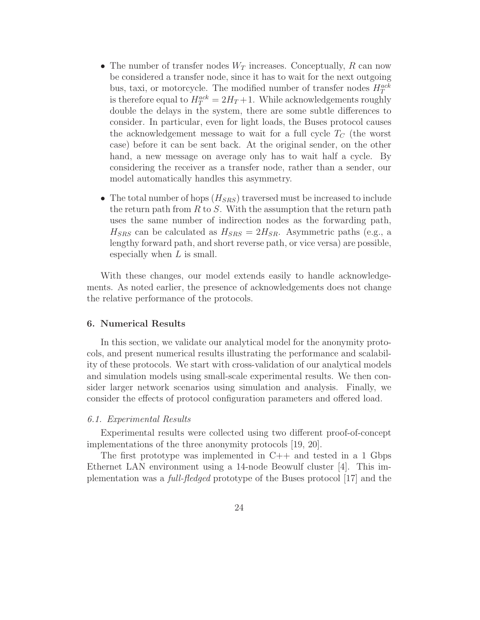- The number of transfer nodes  $W_T$  increases. Conceptually, R can now be considered a transfer node, since it has to wait for the next outgoing bus, taxi, or motorcycle. The modified number of transfer nodes  $H_T^{ack}$ is therefore equal to  $H_T^{ack} = 2H_T + 1$ . While acknowledgements roughly double the delays in the system, there are some subtle differences to consider. In particular, even for light loads, the Buses protocol causes the acknowledgement message to wait for a full cycle  $T_C$  (the worst case) before it can be sent back. At the original sender, on the other hand, a new message on average only has to wait half a cycle. By considering the receiver as a transfer node, rather than a sender, our model automatically handles this asymmetry.
- The total number of hops  $(H_{SRS})$  traversed must be increased to include the return path from  $R$  to  $S$ . With the assumption that the return path uses the same number of indirection nodes as the forwarding path,  $H_{SRS}$  can be calculated as  $H_{SRS} = 2H_{SR}$ . Asymmetric paths (e.g., a lengthy forward path, and short reverse path, or vice versa) are possible, especially when L is small.

With these changes, our model extends easily to handle acknowledgements. As noted earlier, the presence of acknowledgements does not change the relative performance of the protocols.

#### 6. Numerical Results

In this section, we validate our analytical model for the anonymity protocols, and present numerical results illustrating the performance and scalability of these protocols. We start with cross-validation of our analytical models and simulation models using small-scale experimental results. We then consider larger network scenarios using simulation and analysis. Finally, we consider the effects of protocol configuration parameters and offered load.

# *6.1. Experimental Results*

Experimental results were collected using two different proof-of-concept implementations of the three anonymity protocols [19, 20].

The first prototype was implemented in  $C_{++}$  and tested in a 1 Gbps Ethernet LAN environment using a 14-node Beowulf cluster [4]. This implementation was a *full-fledged* prototype of the Buses protocol [17] and the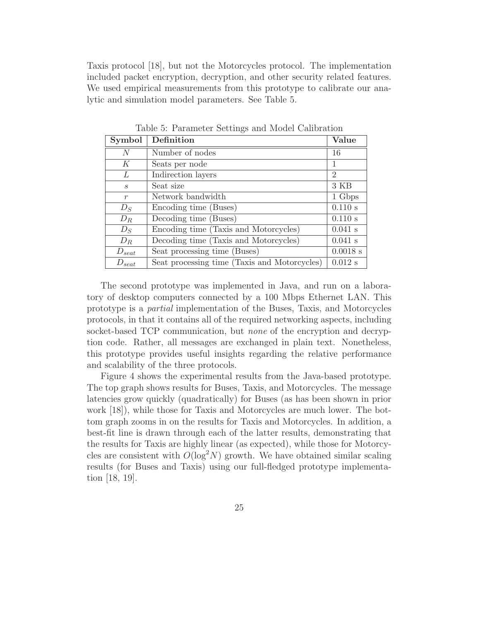Taxis protocol [18], but not the Motorcycles protocol. The implementation included packet encryption, decryption, and other security related features. We used empirical measurements from this prototype to calibrate our analytic and simulation model parameters. See Table 5.

| Symbol                      | Definition                                   | Value          |
|-----------------------------|----------------------------------------------|----------------|
| N                           | Number of nodes                              | 16             |
| K                           | Seats per node                               | 1              |
| L                           | Indirection layers                           | $\overline{2}$ |
| $\mathcal{S}_{\mathcal{S}}$ | Seat size                                    | 3 KB           |
| $\,r$                       | Network bandwidth                            | 1 Gbps         |
| $D_S$                       | Encoding time (Buses)                        | 0.110 s        |
| $D_R$                       | Decoding time (Buses)                        | $0.110$ s      |
| $D_S$                       | Encoding time (Taxis and Motorcycles)        | $0.041$ s      |
| $D_R$                       | Decoding time (Taxis and Motorcycles)        | $0.041$ s      |
| $D_{\text{seat}}$           | Seat processing time (Buses)                 | $0.0018$ s     |
| $D_{\text{seat}}$           | Seat processing time (Taxis and Motorcycles) | $0.012$ s      |

Table 5: Parameter Settings and Model Calibration

The second prototype was implemented in Java, and run on a laboratory of desktop computers connected by a 100 Mbps Ethernet LAN. This prototype is a *partial* implementation of the Buses, Taxis, and Motorcycles protocols, in that it contains all of the required networking aspects, including socket-based TCP communication, but *none* of the encryption and decryption code. Rather, all messages are exchanged in plain text. Nonetheless, this prototype provides useful insights regarding the relative performance and scalability of the three protocols.

Figure 4 shows the experimental results from the Java-based prototype. The top graph shows results for Buses, Taxis, and Motorcycles. The message latencies grow quickly (quadratically) for Buses (as has been shown in prior work [18]), while those for Taxis and Motorcycles are much lower. The bottom graph zooms in on the results for Taxis and Motorcycles. In addition, a best-fit line is drawn through each of the latter results, demonstrating that the results for Taxis are highly linear (as expected), while those for Motorcycles are consistent with  $O(log^2N)$  growth. We have obtained similar scaling results (for Buses and Taxis) using our full-fledged prototype implementation [18, 19].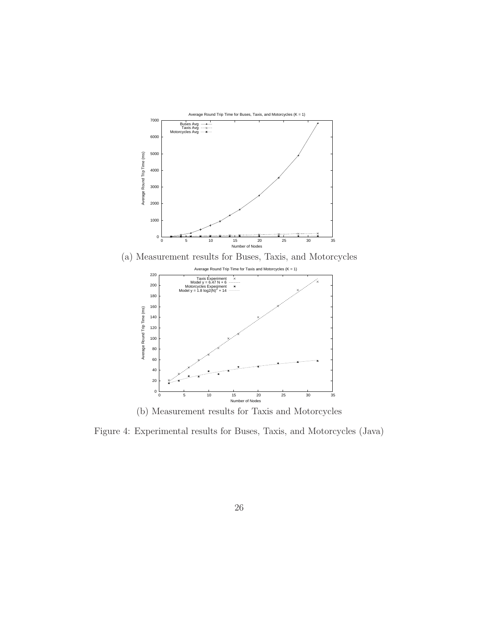

(b) Measurement results for Taxis and Motorcycles

Figure 4: Experimental results for Buses, Taxis, and Motorcycles (Java)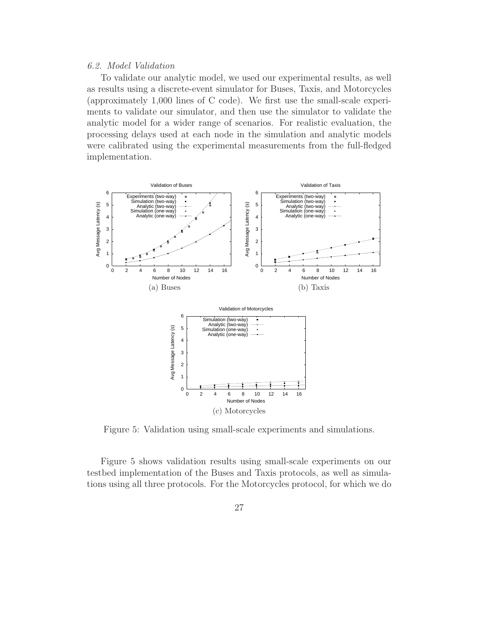#### *6.2. Model Validation*

To validate our analytic model, we used our experimental results, as well as results using a discrete-event simulator for Buses, Taxis, and Motorcycles (approximately 1,000 lines of C code). We first use the small-scale experiments to validate our simulator, and then use the simulator to validate the analytic model for a wider range of scenarios. For realistic evaluation, the processing delays used at each node in the simulation and analytic models were calibrated using the experimental measurements from the full-fledged implementation.



Figure 5: Validation using small-scale experiments and simulations.

Figure 5 shows validation results using small-scale experiments on our testbed implementation of the Buses and Taxis protocols, as well as simulations using all three protocols. For the Motorcycles protocol, for which we do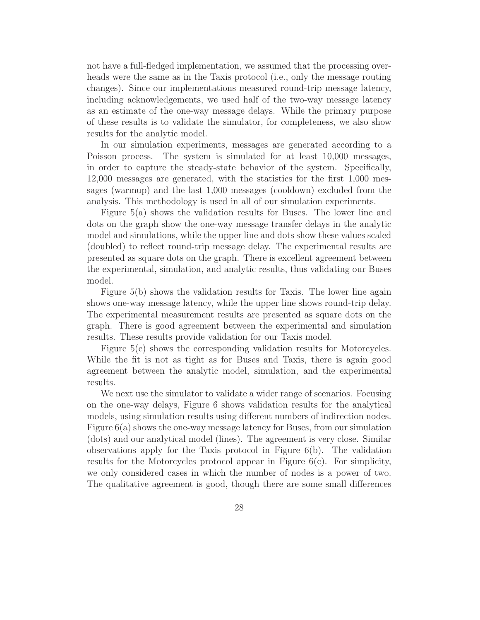not have a full-fledged implementation, we assumed that the processing overheads were the same as in the Taxis protocol (i.e., only the message routing changes). Since our implementations measured round-trip message latency, including acknowledgements, we used half of the two-way message latency as an estimate of the one-way message delays. While the primary purpose of these results is to validate the simulator, for completeness, we also show results for the analytic model.

In our simulation experiments, messages are generated according to a Poisson process. The system is simulated for at least 10,000 messages, in order to capture the steady-state behavior of the system. Specifically, 12,000 messages are generated, with the statistics for the first 1,000 messages (warmup) and the last 1,000 messages (cooldown) excluded from the analysis. This methodology is used in all of our simulation experiments.

Figure 5(a) shows the validation results for Buses. The lower line and dots on the graph show the one-way message transfer delays in the analytic model and simulations, while the upper line and dots show these values scaled (doubled) to reflect round-trip message delay. The experimental results are presented as square dots on the graph. There is excellent agreement between the experimental, simulation, and analytic results, thus validating our Buses model.

Figure 5(b) shows the validation results for Taxis. The lower line again shows one-way message latency, while the upper line shows round-trip delay. The experimental measurement results are presented as square dots on the graph. There is good agreement between the experimental and simulation results. These results provide validation for our Taxis model.

Figure 5(c) shows the corresponding validation results for Motorcycles. While the fit is not as tight as for Buses and Taxis, there is again good agreement between the analytic model, simulation, and the experimental results.

We next use the simulator to validate a wider range of scenarios. Focusing on the one-way delays, Figure 6 shows validation results for the analytical models, using simulation results using different numbers of indirection nodes. Figure 6(a) shows the one-way message latency for Buses, from our simulation (dots) and our analytical model (lines). The agreement is very close. Similar observations apply for the Taxis protocol in Figure 6(b). The validation results for the Motorcycles protocol appear in Figure  $6(c)$ . For simplicity, we only considered cases in which the number of nodes is a power of two. The qualitative agreement is good, though there are some small differences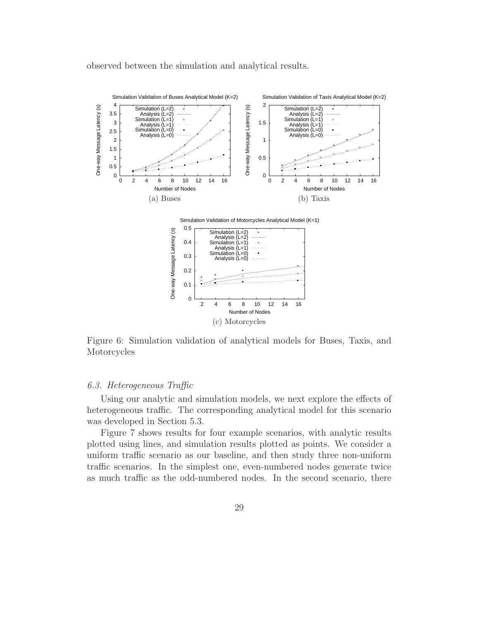observed between the simulation and analytical results.



Figure 6: Simulation validation of analytical models for Buses, Taxis, and Motorcycles

#### *6.3. Heterogeneous Traffic*

Using our analytic and simulation models, we next explore the effects of heterogeneous traffic. The corresponding analytical model for this scenario was developed in Section 5.3.

Figure 7 shows results for four example scenarios, with analytic results plotted using lines, and simulation results plotted as points. We consider a uniform traffic scenario as our baseline, and then study three non-uniform traffic scenarios. In the simplest one, even-numbered nodes generate twice as much traffic as the odd-numbered nodes. In the second scenario, there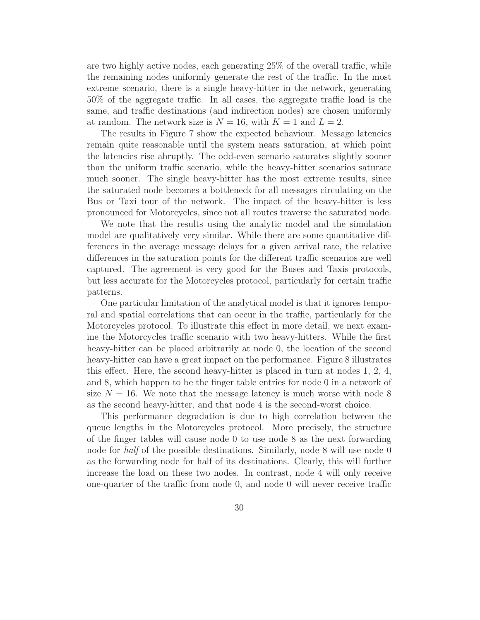are two highly active nodes, each generating 25% of the overall traffic, while the remaining nodes uniformly generate the rest of the traffic. In the most extreme scenario, there is a single heavy-hitter in the network, generating 50% of the aggregate traffic. In all cases, the aggregate traffic load is the same, and traffic destinations (and indirection nodes) are chosen uniformly at random. The network size is  $N = 16$ , with  $K = 1$  and  $L = 2$ .

The results in Figure 7 show the expected behaviour. Message latencies remain quite reasonable until the system nears saturation, at which point the latencies rise abruptly. The odd-even scenario saturates slightly sooner than the uniform traffic scenario, while the heavy-hitter scenarios saturate much sooner. The single heavy-hitter has the most extreme results, since the saturated node becomes a bottleneck for all messages circulating on the Bus or Taxi tour of the network. The impact of the heavy-hitter is less pronounced for Motorcycles, since not all routes traverse the saturated node.

We note that the results using the analytic model and the simulation model are qualitatively very similar. While there are some quantitative differences in the average message delays for a given arrival rate, the relative differences in the saturation points for the different traffic scenarios are well captured. The agreement is very good for the Buses and Taxis protocols, but less accurate for the Motorcycles protocol, particularly for certain traffic patterns.

One particular limitation of the analytical model is that it ignores temporal and spatial correlations that can occur in the traffic, particularly for the Motorcycles protocol. To illustrate this effect in more detail, we next examine the Motorcycles traffic scenario with two heavy-hitters. While the first heavy-hitter can be placed arbitrarily at node 0, the location of the second heavy-hitter can have a great impact on the performance. Figure 8 illustrates this effect. Here, the second heavy-hitter is placed in turn at nodes 1, 2, 4, and 8, which happen to be the finger table entries for node 0 in a network of size  $N = 16$ . We note that the message latency is much worse with node 8 as the second heavy-hitter, and that node 4 is the second-worst choice.

This performance degradation is due to high correlation between the queue lengths in the Motorcycles protocol. More precisely, the structure of the finger tables will cause node 0 to use node 8 as the next forwarding node for *half* of the possible destinations. Similarly, node 8 will use node 0 as the forwarding node for half of its destinations. Clearly, this will further increase the load on these two nodes. In contrast, node 4 will only receive one-quarter of the traffic from node 0, and node 0 will never receive traffic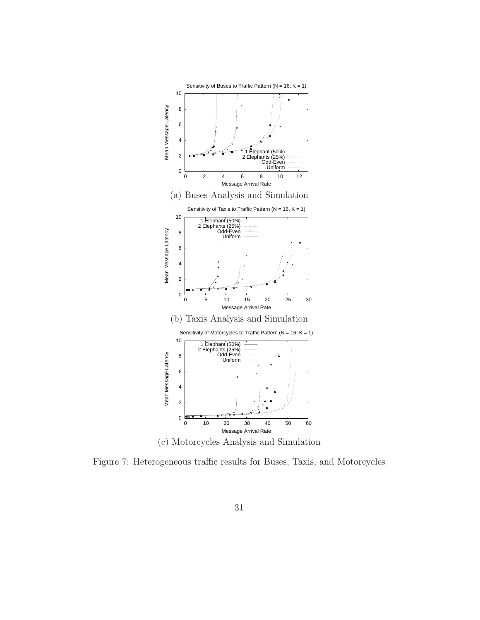

Figure 7: Heterogeneous traffic results for Buses, Taxis, and Motorcycles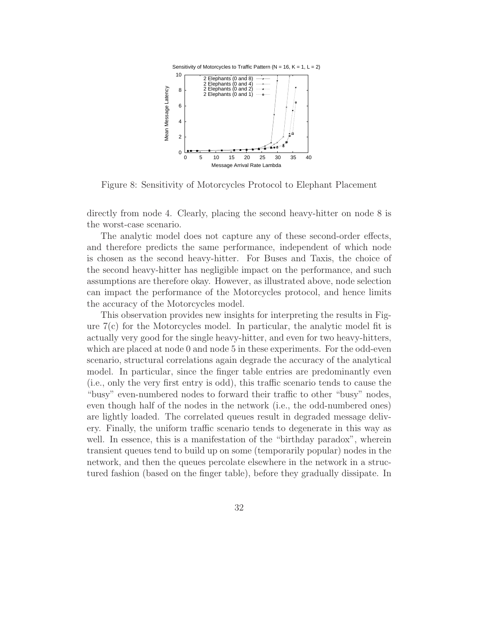

Figure 8: Sensitivity of Motorcycles Protocol to Elephant Placement

directly from node 4. Clearly, placing the second heavy-hitter on node 8 is the worst-case scenario.

The analytic model does not capture any of these second-order effects, and therefore predicts the same performance, independent of which node is chosen as the second heavy-hitter. For Buses and Taxis, the choice of the second heavy-hitter has negligible impact on the performance, and such assumptions are therefore okay. However, as illustrated above, node selection can impact the performance of the Motorcycles protocol, and hence limits the accuracy of the Motorcycles model.

This observation provides new insights for interpreting the results in Figure 7(c) for the Motorcycles model. In particular, the analytic model fit is actually very good for the single heavy-hitter, and even for two heavy-hitters, which are placed at node 0 and node 5 in these experiments. For the odd-even scenario, structural correlations again degrade the accuracy of the analytical model. In particular, since the finger table entries are predominantly even (i.e., only the very first entry is odd), this traffic scenario tends to cause the "busy" even-numbered nodes to forward their traffic to other "busy" nodes, even though half of the nodes in the network (i.e., the odd-numbered ones) are lightly loaded. The correlated queues result in degraded message delivery. Finally, the uniform traffic scenario tends to degenerate in this way as well. In essence, this is a manifestation of the "birthday paradox", wherein transient queues tend to build up on some (temporarily popular) nodes in the network, and then the queues percolate elsewhere in the network in a structured fashion (based on the finger table), before they gradually dissipate. In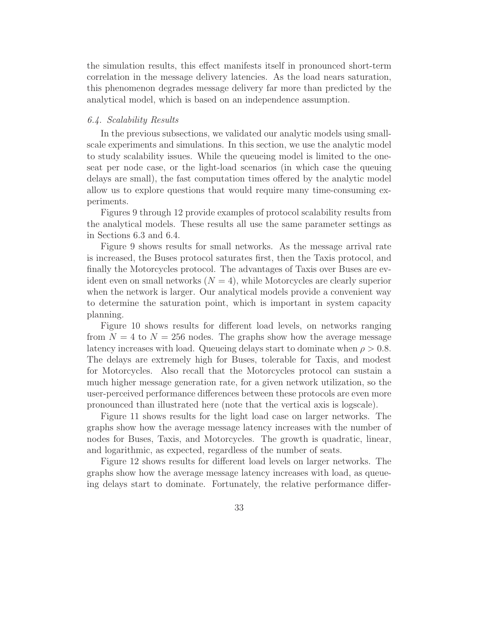the simulation results, this effect manifests itself in pronounced short-term correlation in the message delivery latencies. As the load nears saturation, this phenomenon degrades message delivery far more than predicted by the analytical model, which is based on an independence assumption.

## *6.4. Scalability Results*

In the previous subsections, we validated our analytic models using smallscale experiments and simulations. In this section, we use the analytic model to study scalability issues. While the queueing model is limited to the oneseat per node case, or the light-load scenarios (in which case the queuing delays are small), the fast computation times offered by the analytic model allow us to explore questions that would require many time-consuming experiments.

Figures 9 through 12 provide examples of protocol scalability results from the analytical models. These results all use the same parameter settings as in Sections 6.3 and 6.4.

Figure 9 shows results for small networks. As the message arrival rate is increased, the Buses protocol saturates first, then the Taxis protocol, and finally the Motorcycles protocol. The advantages of Taxis over Buses are evident even on small networks  $(N = 4)$ , while Motorcycles are clearly superior when the network is larger. Our analytical models provide a convenient way to determine the saturation point, which is important in system capacity planning.

Figure 10 shows results for different load levels, on networks ranging from  $N = 4$  to  $N = 256$  nodes. The graphs show how the average message latency increases with load. Queueing delays start to dominate when  $\rho > 0.8$ . The delays are extremely high for Buses, tolerable for Taxis, and modest for Motorcycles. Also recall that the Motorcycles protocol can sustain a much higher message generation rate, for a given network utilization, so the user-perceived performance differences between these protocols are even more pronounced than illustrated here (note that the vertical axis is logscale).

Figure 11 shows results for the light load case on larger networks. The graphs show how the average message latency increases with the number of nodes for Buses, Taxis, and Motorcycles. The growth is quadratic, linear, and logarithmic, as expected, regardless of the number of seats.

Figure 12 shows results for different load levels on larger networks. The graphs show how the average message latency increases with load, as queueing delays start to dominate. Fortunately, the relative performance differ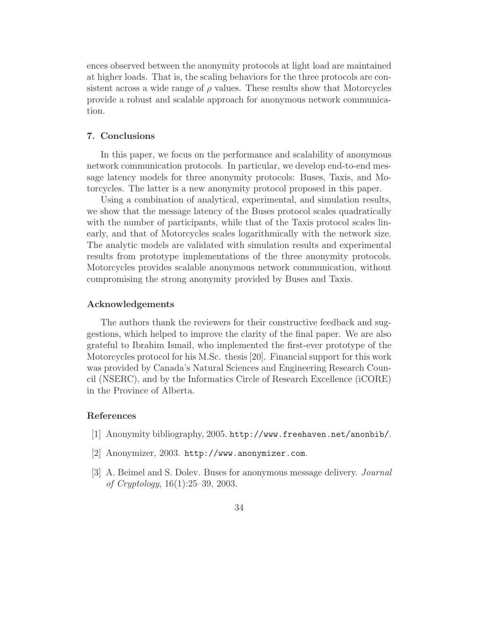ences observed between the anonymity protocols at light load are maintained at higher loads. That is, the scaling behaviors for the three protocols are consistent across a wide range of  $\rho$  values. These results show that Motorcycles provide a robust and scalable approach for anonymous network communication.

#### 7. Conclusions

In this paper, we focus on the performance and scalability of anonymous network communication protocols. In particular, we develop end-to-end message latency models for three anonymity protocols: Buses, Taxis, and Motorcycles. The latter is a new anonymity protocol proposed in this paper.

Using a combination of analytical, experimental, and simulation results, we show that the message latency of the Buses protocol scales quadratically with the number of participants, while that of the Taxis protocol scales linearly, and that of Motorcycles scales logarithmically with the network size. The analytic models are validated with simulation results and experimental results from prototype implementations of the three anonymity protocols. Motorcycles provides scalable anonymous network communication, without compromising the strong anonymity provided by Buses and Taxis.

## Acknowledgements

The authors thank the reviewers for their constructive feedback and suggestions, which helped to improve the clarity of the final paper. We are also grateful to Ibrahim Ismail, who implemented the first-ever prototype of the Motorcycles protocol for his M.Sc. thesis [20]. Financial support for this work was provided by Canada's Natural Sciences and Engineering Research Council (NSERC), and by the Informatics Circle of Research Excellence (iCORE) in the Province of Alberta.

## References

- [1] Anonymity bibliography, 2005. http://www.freehaven.net/anonbib/.
- [2] Anonymizer, 2003. http://www.anonymizer.com.
- [3] A. Beimel and S. Dolev. Buses for anonymous message delivery. *Journal of Cryptology*, 16(1):25–39, 2003.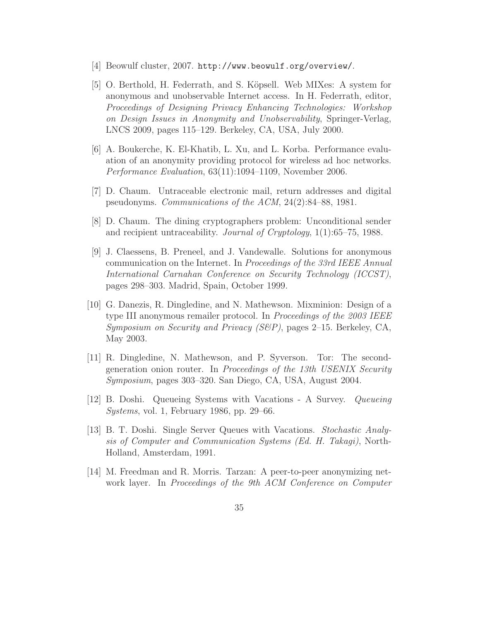- [4] Beowulf cluster, 2007. http://www.beowulf.org/overview/.
- [5] O. Berthold, H. Federrath, and S. Köpsell. Web MIXes: A system for anonymous and unobservable Internet access. In H. Federrath, editor, *Proceedings of Designing Privacy Enhancing Technologies: Workshop on Design Issues in Anonymity and Unobservability*, Springer-Verlag, LNCS 2009, pages 115–129. Berkeley, CA, USA, July 2000.
- [6] A. Boukerche, K. El-Khatib, L. Xu, and L. Korba. Performance evaluation of an anonymity providing protocol for wireless ad hoc networks. *Performance Evaluation*, 63(11):1094–1109, November 2006.
- [7] D. Chaum. Untraceable electronic mail, return addresses and digital pseudonyms. *Communications of the ACM*, 24(2):84–88, 1981.
- [8] D. Chaum. The dining cryptographers problem: Unconditional sender and recipient untraceability. *Journal of Cryptology*, 1(1):65–75, 1988.
- [9] J. Claessens, B. Preneel, and J. Vandewalle. Solutions for anonymous communication on the Internet. In *Proceedings of the 33rd IEEE Annual International Carnahan Conference on Security Technology (ICCST)*, pages 298–303. Madrid, Spain, October 1999.
- [10] G. Danezis, R. Dingledine, and N. Mathewson. Mixminion: Design of a type III anonymous remailer protocol. In *Proceedings of the 2003 IEEE Symposium on Security and Privacy (S&P)*, pages 2–15. Berkeley, CA, May 2003.
- [11] R. Dingledine, N. Mathewson, and P. Syverson. Tor: The secondgeneration onion router. In *Proceedings of the 13th USENIX Security Symposium*, pages 303–320. San Diego, CA, USA, August 2004.
- [12] B. Doshi. Queueing Systems with Vacations A Survey. *Queueing Systems*, vol. 1, February 1986, pp. 29–66.
- [13] B. T. Doshi. Single Server Queues with Vacations. *Stochastic Analysis of Computer and Communication Systems (Ed. H. Takagi)*, North-Holland, Amsterdam, 1991.
- [14] M. Freedman and R. Morris. Tarzan: A peer-to-peer anonymizing network layer. In *Proceedings of the 9th ACM Conference on Computer*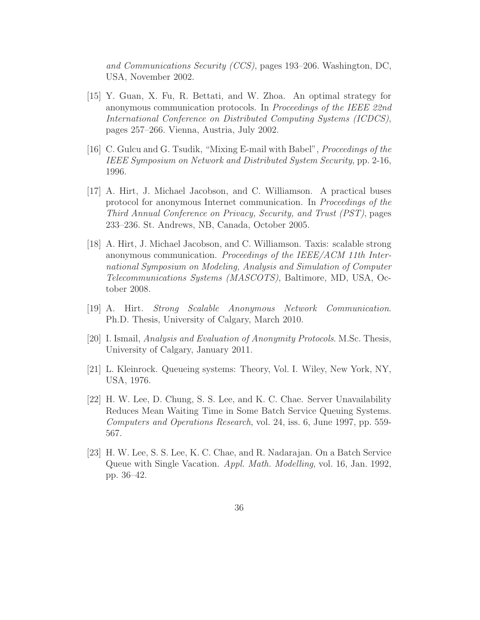*and Communications Security (CCS)*, pages 193–206. Washington, DC, USA, November 2002.

- [15] Y. Guan, X. Fu, R. Bettati, and W. Zhoa. An optimal strategy for anonymous communication protocols. In *Proceedings of the IEEE 22nd International Conference on Distributed Computing Systems (ICDCS)*, pages 257–266. Vienna, Austria, July 2002.
- [16] C. Gulcu and G. Tsudik, "Mixing E-mail with Babel", *Proceedings of the IEEE Symposium on Network and Distributed System Security*, pp. 2-16, 1996.
- [17] A. Hirt, J. Michael Jacobson, and C. Williamson. A practical buses protocol for anonymous Internet communication. In *Proceedings of the Third Annual Conference on Privacy, Security, and Trust (PST)*, pages 233–236. St. Andrews, NB, Canada, October 2005.
- [18] A. Hirt, J. Michael Jacobson, and C. Williamson. Taxis: scalable strong anonymous communication. *Proceedings of the IEEE/ACM 11th International Symposium on Modeling, Analysis and Simulation of Computer Telecommunications Systems (MASCOTS)*, Baltimore, MD, USA, October 2008.
- [19] A. Hirt. *Strong Scalable Anonymous Network Communication*. Ph.D. Thesis, University of Calgary, March 2010.
- [20] I. Ismail, *Analysis and Evaluation of Anonymity Protocols*. M.Sc. Thesis, University of Calgary, January 2011.
- [21] L. Kleinrock. Queueing systems: Theory, Vol. I. Wiley, New York, NY, USA, 1976.
- [22] H. W. Lee, D. Chung, S. S. Lee, and K. C. Chae. Server Unavailability Reduces Mean Waiting Time in Some Batch Service Queuing Systems. *Computers and Operations Research*, vol. 24, iss. 6, June 1997, pp. 559- 567.
- [23] H. W. Lee, S. S. Lee, K. C. Chae, and R. Nadarajan. On a Batch Service Queue with Single Vacation. *Appl. Math. Modelling*, vol. 16, Jan. 1992, pp. 36–42.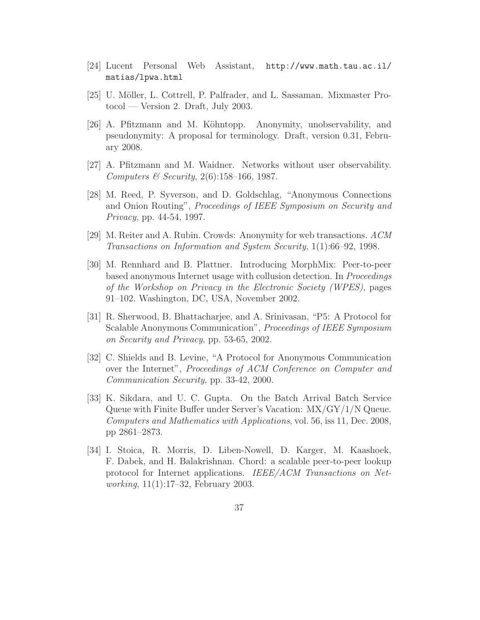- [24] Lucent Personal Web Assistant, http://www.math.tau.ac.il/ matias/lpwa.html
- [25] U. Möller, L. Cottrell, P. Palfrader, and L. Sassaman. Mixmaster Protocol — Version 2. Draft, July 2003.
- [26] A. Pfitzmann and M. Köhntopp. Anonymity, unobservability, and pseudonymity: A proposal for terminology. Draft, version 0.31, February 2008.
- [27] A. Pfitzmann and M. Waidner. Networks without user observability. *Computers & Security*, 2(6):158–166, 1987.
- [28] M. Reed, P. Syverson, and D. Goldschlag, "Anonymous Connections and Onion Routing", *Proceedings of IEEE Symposium on Security and Privacy*, pp. 44-54, 1997.
- [29] M. Reiter and A. Rubin. Crowds: Anonymity for web transactions. *ACM Transactions on Information and System Security*, 1(1):66–92, 1998.
- [30] M. Rennhard and B. Plattner. Introducing MorphMix: Peer-to-peer based anonymous Internet usage with collusion detection. In *Proceedings of the Workshop on Privacy in the Electronic Society (WPES)*, pages 91–102. Washington, DC, USA, November 2002.
- [31] R. Sherwood, B. Bhattacharjee, and A. Srinivasan, "P5: A Protocol for Scalable Anonymous Communication", *Proceedings of IEEE Symposium on Security and Privacy*, pp. 53-65, 2002.
- [32] C. Shields and B. Levine, "A Protocol for Anonymous Communication over the Internet", *Proceedings of ACM Conference on Computer and Communication Security*, pp. 33-42, 2000.
- [33] K. Sikdara, and U. C. Gupta. On the Batch Arrival Batch Service Queue with Finite Buffer under Server's Vacation: MX/GY/1/N Queue. *Computers and Mathematics with Applications*, vol. 56, iss 11, Dec. 2008, pp 2861–2873.
- [34] I. Stoica, R. Morris, D. Liben-Nowell, D. Karger, M. Kaashoek, F. Dabek, and H. Balakrishnan. Chord: a scalable peer-to-peer lookup protocol for Internet applications. *IEEE/ACM Transactions on Networking*, 11(1):17–32, February 2003.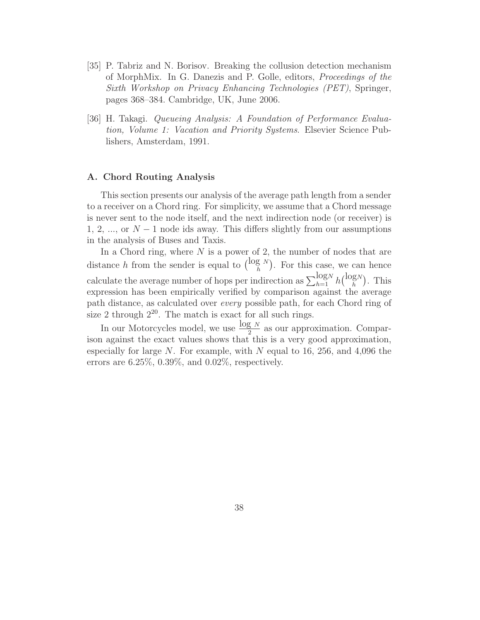- [35] P. Tabriz and N. Borisov. Breaking the collusion detection mechanism of MorphMix. In G. Danezis and P. Golle, editors, *Proceedings of the Sixth Workshop on Privacy Enhancing Technologies (PET)*, Springer, pages 368–384. Cambridge, UK, June 2006.
- [36] H. Takagi. *Queueing Analysis: A Foundation of Performance Evaluation, Volume 1: Vacation and Priority Systems*. Elsevier Science Publishers, Amsterdam, 1991.

# A. Chord Routing Analysis

This section presents our analysis of the average path length from a sender to a receiver on a Chord ring. For simplicity, we assume that a Chord message is never sent to the node itself, and the next indirection node (or receiver) is 1, 2, ..., or  $N-1$  node ids away. This differs slightly from our assumptions in the analysis of Buses and Taxis.

In a Chord ring, where  $N$  is a power of 2, the number of nodes that are distance h from the sender is equal to  $\left(\begin{matrix} \log N \end{matrix}\right)$  $\binom{6}{h}^N$ . For this case, we can hence calculate the average number of hops per indirection as  $\sum_{h=1}^{\log N} h {\log n \choose h}$  $\binom{g_N}{h}$ . This expression has been empirically verified by comparison against the average path distance, as calculated over *every* possible path, for each Chord ring of size 2 through  $2^{20}$ . The match is exact for all such rings.

In our Motorcycles model, we use  $\frac{\log N}{2}$  as our approximation. Comparison against the exact values shows that this is a very good approximation, especially for large N. For example, with N equal to 16, 256, and 4,096 the errors are  $6.25\%, 0.39\%, \text{ and } 0.02\%, \text{ respectively.}$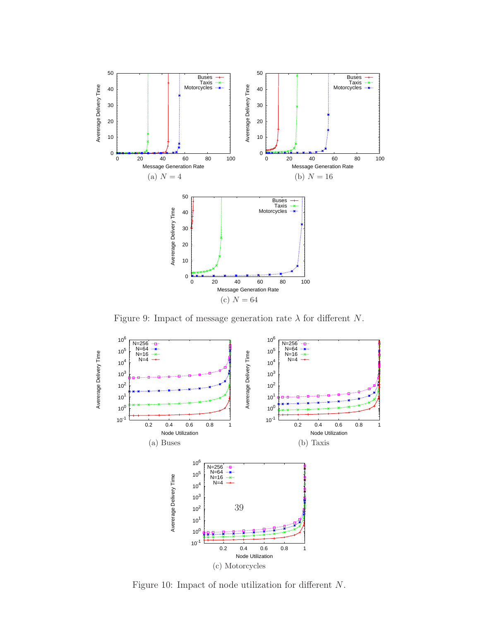

Figure 9: Impact of message generation rate  $\lambda$  for different N.



Figure 10: Impact of node utilization for different N.